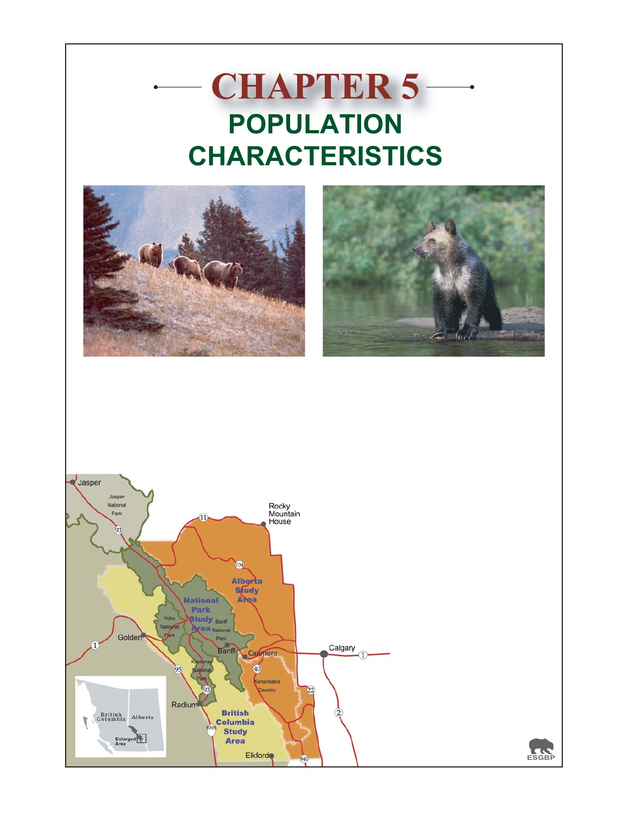# **CHAPTER 5 POPULATION CHARACTERISTICS**







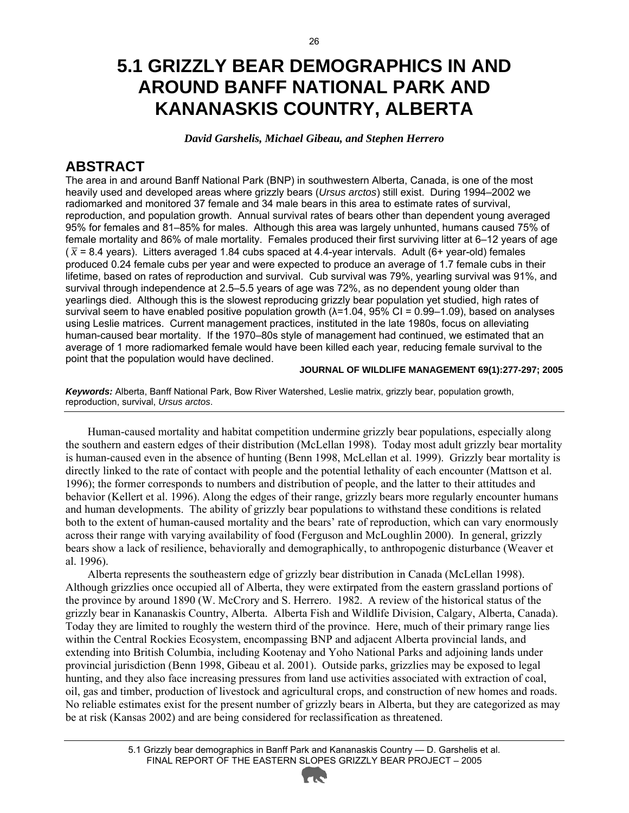### **5.1 GRIZZLY BEAR DEMOGRAPHICS IN AND AROUND BANFF NATIONAL PARK AND KANANASKIS COUNTRY, ALBERTA**

*David Garshelis, Michael Gibeau, and Stephen Herrero* 

### **ABSTRACT**

The area in and around Banff National Park (BNP) in southwestern Alberta, Canada, is one of the most heavily used and developed areas where grizzly bears (*Ursus arctos*) still exist. During 1994–2002 we radiomarked and monitored 37 female and 34 male bears in this area to estimate rates of survival, reproduction, and population growth. Annual survival rates of bears other than dependent young averaged 95% for females and 81–85% for males. Although this area was largely unhunted, humans caused 75% of female mortality and 86% of male mortality. Females produced their first surviving litter at 6–12 years of age  $(\bar{x} = 8.4 \text{ years})$ . Litters averaged 1.84 cubs spaced at 4.4-year intervals. Adult (6+ year-old) females produced 0.24 female cubs per year and were expected to produce an average of 1.7 female cubs in their lifetime, based on rates of reproduction and survival. Cub survival was 79%, yearling survival was 91%, and survival through independence at 2.5–5.5 years of age was 72%, as no dependent young older than yearlings died. Although this is the slowest reproducing grizzly bear population yet studied, high rates of survival seem to have enabled positive population growth  $(\lambda = 1.04, 95\% \text{ CI} = 0.99 - 1.09)$ , based on analyses using Leslie matrices. Current management practices, instituted in the late 1980s, focus on alleviating human-caused bear mortality. If the 1970–80s style of management had continued, we estimated that an average of 1 more radiomarked female would have been killed each year, reducing female survival to the point that the population would have declined.

#### **JOURNAL OF WILDLIFE MANAGEMENT 69(1):277-297; 2005**

*Keywords:* Alberta, Banff National Park, Bow River Watershed, Leslie matrix, grizzly bear, population growth, reproduction, survival, *Ursus arctos*.

Human-caused mortality and habitat competition undermine grizzly bear populations, especially along the southern and eastern edges of their distribution (McLellan 1998). Today most adult grizzly bear mortality is human-caused even in the absence of hunting (Benn 1998, McLellan et al. 1999). Grizzly bear mortality is directly linked to the rate of contact with people and the potential lethality of each encounter (Mattson et al. 1996); the former corresponds to numbers and distribution of people, and the latter to their attitudes and behavior (Kellert et al. 1996). Along the edges of their range, grizzly bears more regularly encounter humans and human developments. The ability of grizzly bear populations to withstand these conditions is related both to the extent of human-caused mortality and the bears' rate of reproduction, which can vary enormously across their range with varying availability of food (Ferguson and McLoughlin 2000). In general, grizzly bears show a lack of resilience, behaviorally and demographically, to anthropogenic disturbance (Weaver et al. 1996).

Alberta represents the southeastern edge of grizzly bear distribution in Canada (McLellan 1998). Although grizzlies once occupied all of Alberta, they were extirpated from the eastern grassland portions of the province by around 1890 (W. McCrory and S. Herrero. 1982. A review of the historical status of the grizzly bear in Kananaskis Country, Alberta. Alberta Fish and Wildlife Division, Calgary, Alberta, Canada). Today they are limited to roughly the western third of the province. Here, much of their primary range lies within the Central Rockies Ecosystem, encompassing BNP and adjacent Alberta provincial lands, and extending into British Columbia, including Kootenay and Yoho National Parks and adjoining lands under provincial jurisdiction (Benn 1998, Gibeau et al. 2001). Outside parks, grizzlies may be exposed to legal hunting, and they also face increasing pressures from land use activities associated with extraction of coal, oil, gas and timber, production of livestock and agricultural crops, and construction of new homes and roads. No reliable estimates exist for the present number of grizzly bears in Alberta, but they are categorized as may be at risk (Kansas 2002) and are being considered for reclassification as threatened.

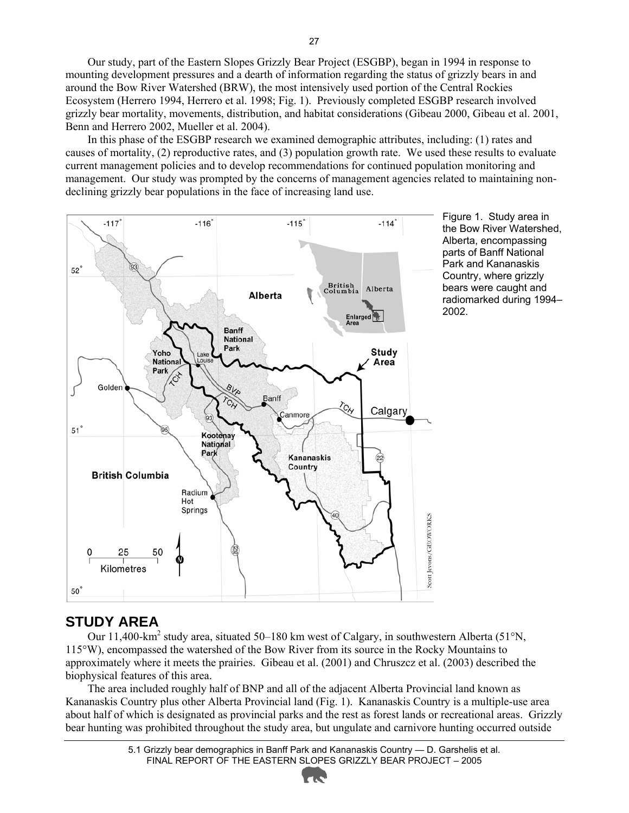Our study, part of the Eastern Slopes Grizzly Bear Project (ESGBP), began in 1994 in response to mounting development pressures and a dearth of information regarding the status of grizzly bears in and around the Bow River Watershed (BRW), the most intensively used portion of the Central Rockies Ecosystem (Herrero 1994, Herrero et al. 1998; Fig. 1). Previously completed ESGBP research involved grizzly bear mortality, movements, distribution, and habitat considerations (Gibeau 2000, Gibeau et al. 2001, Benn and Herrero 2002, Mueller et al. 2004).

In this phase of the ESGBP research we examined demographic attributes, including: (1) rates and causes of mortality, (2) reproductive rates, and (3) population growth rate. We used these results to evaluate current management policies and to develop recommendations for continued population monitoring and management. Our study was prompted by the concerns of management agencies related to maintaining nondeclining grizzly bear populations in the face of increasing land use.



Figure 1. Study area in the Bow River Watershed, Alberta, encompassing parts of Banff National Park and Kananaskis Country, where grizzly bears were caught and radiomarked during 1994– 2002.

#### **STUDY AREA**

Our 11,400-km<sup>2</sup> study area, situated 50–180 km west of Calgary, in southwestern Alberta (51°N, 115°W), encompassed the watershed of the Bow River from its source in the Rocky Mountains to approximately where it meets the prairies. Gibeau et al. (2001) and Chruszcz et al. (2003) described the biophysical features of this area.

The area included roughly half of BNP and all of the adjacent Alberta Provincial land known as Kananaskis Country plus other Alberta Provincial land (Fig. 1). Kananaskis Country is a multiple-use area about half of which is designated as provincial parks and the rest as forest lands or recreational areas. Grizzly bear hunting was prohibited throughout the study area, but ungulate and carnivore hunting occurred outside

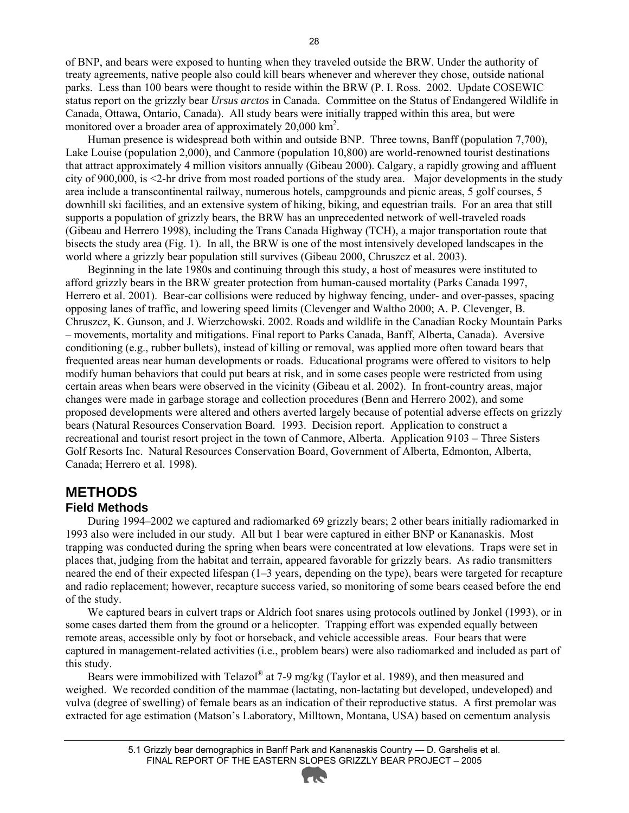of BNP, and bears were exposed to hunting when they traveled outside the BRW. Under the authority of treaty agreements, native people also could kill bears whenever and wherever they chose, outside national parks. Less than 100 bears were thought to reside within the BRW (P. I. Ross. 2002. Update COSEWIC status report on the grizzly bear *Ursus arctos* in Canada. Committee on the Status of Endangered Wildlife in Canada, Ottawa, Ontario, Canada). All study bears were initially trapped within this area, but were monitored over a broader area of approximately 20,000 km<sup>2</sup>.

Human presence is widespread both within and outside BNP. Three towns, Banff (population 7,700), Lake Louise (population 2,000), and Canmore (population 10,800) are world-renowned tourist destinations that attract approximately 4 million visitors annually (Gibeau 2000). Calgary, a rapidly growing and affluent city of 900,000, is <2-hr drive from most roaded portions of the study area. Major developments in the study area include a transcontinental railway, numerous hotels, campgrounds and picnic areas, 5 golf courses, 5 downhill ski facilities, and an extensive system of hiking, biking, and equestrian trails. For an area that still supports a population of grizzly bears, the BRW has an unprecedented network of well-traveled roads (Gibeau and Herrero 1998), including the Trans Canada Highway (TCH), a major transportation route that bisects the study area (Fig. 1). In all, the BRW is one of the most intensively developed landscapes in the world where a grizzly bear population still survives (Gibeau 2000, Chruszcz et al. 2003).

Beginning in the late 1980s and continuing through this study, a host of measures were instituted to afford grizzly bears in the BRW greater protection from human-caused mortality (Parks Canada 1997, Herrero et al. 2001). Bear-car collisions were reduced by highway fencing, under- and over-passes, spacing opposing lanes of traffic, and lowering speed limits (Clevenger and Waltho 2000; A. P. Clevenger, B. Chruszcz, K. Gunson, and J. Wierzchowski. 2002. Roads and wildlife in the Canadian Rocky Mountain Parks – movements, mortality and mitigations. Final report to Parks Canada, Banff, Alberta, Canada). Aversive conditioning (e.g., rubber bullets), instead of killing or removal, was applied more often toward bears that frequented areas near human developments or roads. Educational programs were offered to visitors to help modify human behaviors that could put bears at risk, and in some cases people were restricted from using certain areas when bears were observed in the vicinity (Gibeau et al. 2002). In front-country areas, major changes were made in garbage storage and collection procedures (Benn and Herrero 2002), and some proposed developments were altered and others averted largely because of potential adverse effects on grizzly bears (Natural Resources Conservation Board. 1993. Decision report. Application to construct a recreational and tourist resort project in the town of Canmore, Alberta. Application 9103 – Three Sisters Golf Resorts Inc. Natural Resources Conservation Board, Government of Alberta, Edmonton, Alberta, Canada; Herrero et al. 1998).

## **METHODS**

**Field Methods** 

During 1994–2002 we captured and radiomarked 69 grizzly bears; 2 other bears initially radiomarked in 1993 also were included in our study. All but 1 bear were captured in either BNP or Kananaskis. Most trapping was conducted during the spring when bears were concentrated at low elevations. Traps were set in places that, judging from the habitat and terrain, appeared favorable for grizzly bears. As radio transmitters neared the end of their expected lifespan (1–3 years, depending on the type), bears were targeted for recapture and radio replacement; however, recapture success varied, so monitoring of some bears ceased before the end of the study.

We captured bears in culvert traps or Aldrich foot snares using protocols outlined by Jonkel (1993), or in some cases darted them from the ground or a helicopter. Trapping effort was expended equally between remote areas, accessible only by foot or horseback, and vehicle accessible areas. Four bears that were captured in management-related activities (i.e., problem bears) were also radiomarked and included as part of this study.

Bears were immobilized with Telazol® at 7-9 mg/kg (Taylor et al. 1989), and then measured and weighed. We recorded condition of the mammae (lactating, non-lactating but developed, undeveloped) and vulva (degree of swelling) of female bears as an indication of their reproductive status. A first premolar was extracted for age estimation (Matson's Laboratory, Milltown, Montana, USA) based on cementum analysis

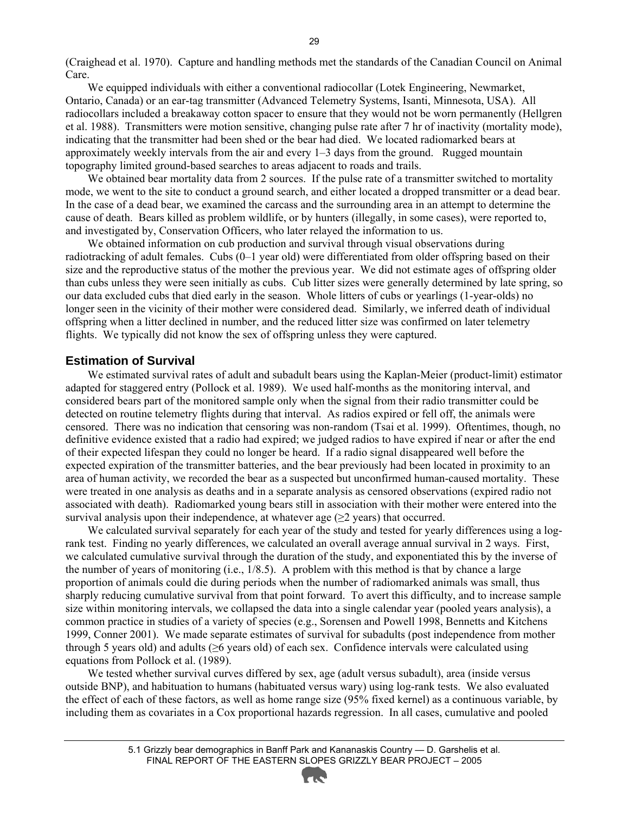(Craighead et al. 1970). Capture and handling methods met the standards of the Canadian Council on Animal Care.

We equipped individuals with either a conventional radiocollar (Lotek Engineering, Newmarket, Ontario, Canada) or an ear-tag transmitter (Advanced Telemetry Systems, Isanti, Minnesota, USA). All radiocollars included a breakaway cotton spacer to ensure that they would not be worn permanently (Hellgren et al. 1988). Transmitters were motion sensitive, changing pulse rate after 7 hr of inactivity (mortality mode), indicating that the transmitter had been shed or the bear had died. We located radiomarked bears at approximately weekly intervals from the air and every 1–3 days from the ground. Rugged mountain topography limited ground-based searches to areas adjacent to roads and trails.

We obtained bear mortality data from 2 sources. If the pulse rate of a transmitter switched to mortality mode, we went to the site to conduct a ground search, and either located a dropped transmitter or a dead bear. In the case of a dead bear, we examined the carcass and the surrounding area in an attempt to determine the cause of death. Bears killed as problem wildlife, or by hunters (illegally, in some cases), were reported to, and investigated by, Conservation Officers, who later relayed the information to us.

We obtained information on cub production and survival through visual observations during radiotracking of adult females. Cubs (0–1 year old) were differentiated from older offspring based on their size and the reproductive status of the mother the previous year. We did not estimate ages of offspring older than cubs unless they were seen initially as cubs. Cub litter sizes were generally determined by late spring, so our data excluded cubs that died early in the season. Whole litters of cubs or yearlings (1-year-olds) no longer seen in the vicinity of their mother were considered dead. Similarly, we inferred death of individual offspring when a litter declined in number, and the reduced litter size was confirmed on later telemetry flights. We typically did not know the sex of offspring unless they were captured.

#### **Estimation of Survival**

We estimated survival rates of adult and subadult bears using the Kaplan-Meier (product-limit) estimator adapted for staggered entry (Pollock et al. 1989). We used half-months as the monitoring interval, and considered bears part of the monitored sample only when the signal from their radio transmitter could be detected on routine telemetry flights during that interval. As radios expired or fell off, the animals were censored. There was no indication that censoring was non-random (Tsai et al. 1999). Oftentimes, though, no definitive evidence existed that a radio had expired; we judged radios to have expired if near or after the end of their expected lifespan they could no longer be heard. If a radio signal disappeared well before the expected expiration of the transmitter batteries, and the bear previously had been located in proximity to an area of human activity, we recorded the bear as a suspected but unconfirmed human-caused mortality. These were treated in one analysis as deaths and in a separate analysis as censored observations (expired radio not associated with death). Radiomarked young bears still in association with their mother were entered into the survival analysis upon their independence, at whatever age  $(\geq 2$  years) that occurred.

We calculated survival separately for each year of the study and tested for yearly differences using a logrank test. Finding no yearly differences, we calculated an overall average annual survival in 2 ways. First, we calculated cumulative survival through the duration of the study, and exponentiated this by the inverse of the number of years of monitoring (i.e., 1/8.5). A problem with this method is that by chance a large proportion of animals could die during periods when the number of radiomarked animals was small, thus sharply reducing cumulative survival from that point forward. To avert this difficulty, and to increase sample size within monitoring intervals, we collapsed the data into a single calendar year (pooled years analysis), a common practice in studies of a variety of species (e.g., Sorensen and Powell 1998, Bennetts and Kitchens 1999, Conner 2001). We made separate estimates of survival for subadults (post independence from mother through 5 years old) and adults ( $\geq 6$  years old) of each sex. Confidence intervals were calculated using equations from Pollock et al. (1989).

We tested whether survival curves differed by sex, age (adult versus subadult), area (inside versus outside BNP), and habituation to humans (habituated versus wary) using log-rank tests. We also evaluated the effect of each of these factors, as well as home range size (95% fixed kernel) as a continuous variable, by including them as covariates in a Cox proportional hazards regression. In all cases, cumulative and pooled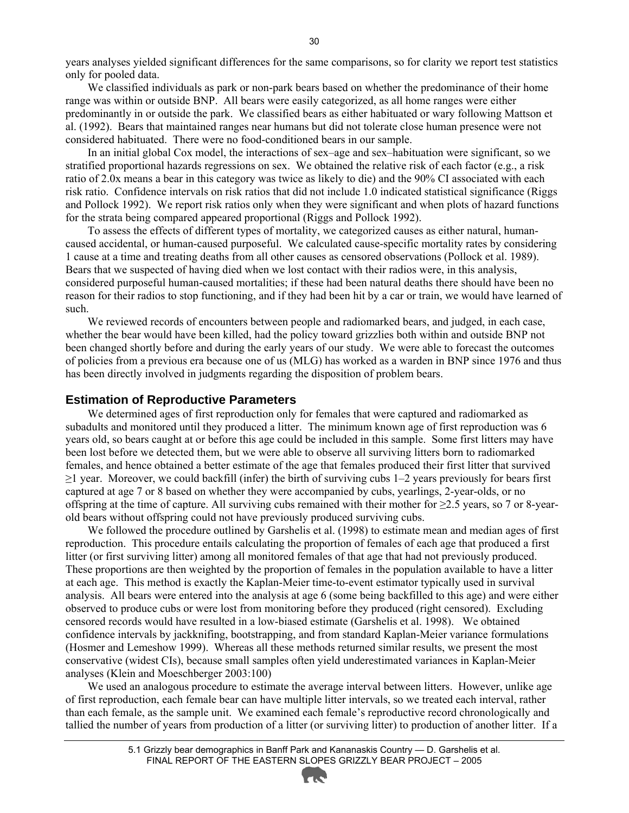years analyses yielded significant differences for the same comparisons, so for clarity we report test statistics only for pooled data.

We classified individuals as park or non-park bears based on whether the predominance of their home range was within or outside BNP. All bears were easily categorized, as all home ranges were either predominantly in or outside the park. We classified bears as either habituated or wary following Mattson et al. (1992). Bears that maintained ranges near humans but did not tolerate close human presence were not considered habituated. There were no food-conditioned bears in our sample.

In an initial global Cox model, the interactions of sex–age and sex–habituation were significant, so we stratified proportional hazards regressions on sex. We obtained the relative risk of each factor (e.g., a risk ratio of 2.0x means a bear in this category was twice as likely to die) and the 90% CI associated with each risk ratio. Confidence intervals on risk ratios that did not include 1.0 indicated statistical significance (Riggs and Pollock 1992). We report risk ratios only when they were significant and when plots of hazard functions for the strata being compared appeared proportional (Riggs and Pollock 1992).

To assess the effects of different types of mortality, we categorized causes as either natural, humancaused accidental, or human-caused purposeful. We calculated cause-specific mortality rates by considering 1 cause at a time and treating deaths from all other causes as censored observations (Pollock et al. 1989). Bears that we suspected of having died when we lost contact with their radios were, in this analysis, considered purposeful human-caused mortalities; if these had been natural deaths there should have been no reason for their radios to stop functioning, and if they had been hit by a car or train, we would have learned of such.

We reviewed records of encounters between people and radiomarked bears, and judged, in each case, whether the bear would have been killed, had the policy toward grizzlies both within and outside BNP not been changed shortly before and during the early years of our study. We were able to forecast the outcomes of policies from a previous era because one of us (MLG) has worked as a warden in BNP since 1976 and thus has been directly involved in judgments regarding the disposition of problem bears.

#### **Estimation of Reproductive Parameters**

We determined ages of first reproduction only for females that were captured and radiomarked as subadults and monitored until they produced a litter. The minimum known age of first reproduction was 6 years old, so bears caught at or before this age could be included in this sample. Some first litters may have been lost before we detected them, but we were able to observe all surviving litters born to radiomarked females, and hence obtained a better estimate of the age that females produced their first litter that survived  $\geq$ 1 year. Moreover, we could backfill (infer) the birth of surviving cubs 1–2 years previously for bears first captured at age 7 or 8 based on whether they were accompanied by cubs, yearlings, 2-year-olds, or no offspring at the time of capture. All surviving cubs remained with their mother for  $\geq 2.5$  years, so 7 or 8-yearold bears without offspring could not have previously produced surviving cubs.

We followed the procedure outlined by Garshelis et al. (1998) to estimate mean and median ages of first reproduction. This procedure entails calculating the proportion of females of each age that produced a first litter (or first surviving litter) among all monitored females of that age that had not previously produced. These proportions are then weighted by the proportion of females in the population available to have a litter at each age. This method is exactly the Kaplan-Meier time-to-event estimator typically used in survival analysis. All bears were entered into the analysis at age 6 (some being backfilled to this age) and were either observed to produce cubs or were lost from monitoring before they produced (right censored). Excluding censored records would have resulted in a low-biased estimate (Garshelis et al. 1998). We obtained confidence intervals by jackknifing, bootstrapping, and from standard Kaplan-Meier variance formulations (Hosmer and Lemeshow 1999). Whereas all these methods returned similar results, we present the most conservative (widest CIs), because small samples often yield underestimated variances in Kaplan-Meier analyses (Klein and Moeschberger 2003:100)

We used an analogous procedure to estimate the average interval between litters. However, unlike age of first reproduction, each female bear can have multiple litter intervals, so we treated each interval, rather than each female, as the sample unit. We examined each female's reproductive record chronologically and tallied the number of years from production of a litter (or surviving litter) to production of another litter. If a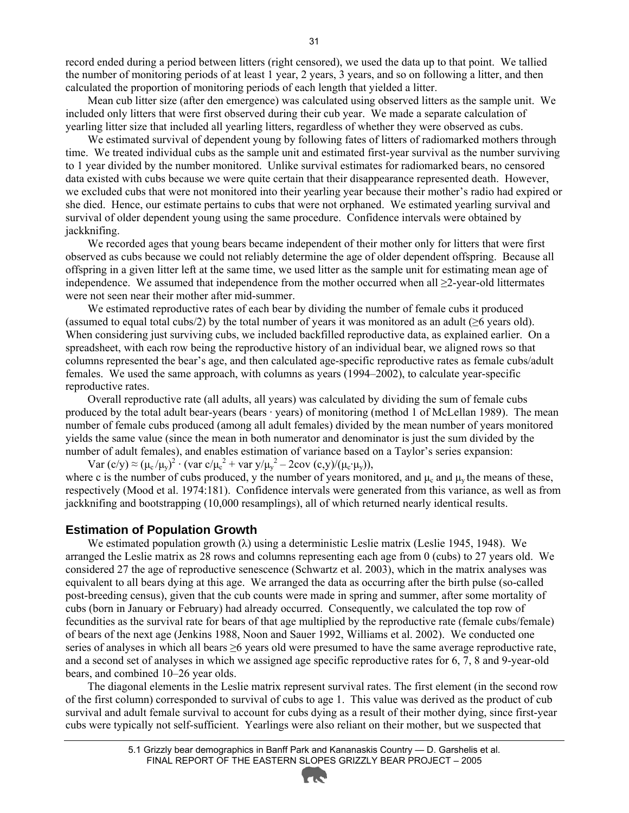record ended during a period between litters (right censored), we used the data up to that point. We tallied the number of monitoring periods of at least 1 year, 2 years, 3 years, and so on following a litter, and then calculated the proportion of monitoring periods of each length that yielded a litter.

Mean cub litter size (after den emergence) was calculated using observed litters as the sample unit. We included only litters that were first observed during their cub year. We made a separate calculation of yearling litter size that included all yearling litters, regardless of whether they were observed as cubs.

We estimated survival of dependent young by following fates of litters of radiomarked mothers through time. We treated individual cubs as the sample unit and estimated first-year survival as the number surviving to 1 year divided by the number monitored. Unlike survival estimates for radiomarked bears, no censored data existed with cubs because we were quite certain that their disappearance represented death. However, we excluded cubs that were not monitored into their yearling year because their mother's radio had expired or she died. Hence, our estimate pertains to cubs that were not orphaned. We estimated yearling survival and survival of older dependent young using the same procedure. Confidence intervals were obtained by jackknifing.

We recorded ages that young bears became independent of their mother only for litters that were first observed as cubs because we could not reliably determine the age of older dependent offspring. Because all offspring in a given litter left at the same time, we used litter as the sample unit for estimating mean age of independence. We assumed that independence from the mother occurred when all ≥2-year-old littermates were not seen near their mother after mid-summer.

We estimated reproductive rates of each bear by dividing the number of female cubs it produced (assumed to equal total cubs/2) by the total number of years it was monitored as an adult ( $\geq 6$  years old). When considering just surviving cubs, we included backfilled reproductive data, as explained earlier. On a spreadsheet, with each row being the reproductive history of an individual bear, we aligned rows so that columns represented the bear's age, and then calculated age-specific reproductive rates as female cubs/adult females. We used the same approach, with columns as years (1994–2002), to calculate year-specific reproductive rates.

Overall reproductive rate (all adults, all years) was calculated by dividing the sum of female cubs produced by the total adult bear-years (bears · years) of monitoring (method 1 of McLellan 1989). The mean number of female cubs produced (among all adult females) divided by the mean number of years monitored yields the same value (since the mean in both numerator and denominator is just the sum divided by the number of adult females), and enables estimation of variance based on a Taylor's series expansion:

Var  $(c/y) \approx (\mu_c/\mu_y)^2 \cdot (var c/\mu_c^2 + var y/\mu_y^2 - 2cov (c,y)/(\mu_c \cdot \mu_y)),$ 

where c is the number of cubs produced, y the number of years monitored, and  $\mu_c$  and  $\mu_v$  the means of these, respectively (Mood et al. 1974:181). Confidence intervals were generated from this variance, as well as from jackknifing and bootstrapping (10,000 resamplings), all of which returned nearly identical results.

#### **Estimation of Population Growth**

We estimated population growth  $(\lambda)$  using a deterministic Leslie matrix (Leslie 1945, 1948). We arranged the Leslie matrix as 28 rows and columns representing each age from 0 (cubs) to 27 years old. We considered 27 the age of reproductive senescence (Schwartz et al. 2003), which in the matrix analyses was equivalent to all bears dying at this age. We arranged the data as occurring after the birth pulse (so-called post-breeding census), given that the cub counts were made in spring and summer, after some mortality of cubs (born in January or February) had already occurred. Consequently, we calculated the top row of fecundities as the survival rate for bears of that age multiplied by the reproductive rate (female cubs/female) of bears of the next age (Jenkins 1988, Noon and Sauer 1992, Williams et al. 2002). We conducted one series of analyses in which all bears ≥6 years old were presumed to have the same average reproductive rate, and a second set of analyses in which we assigned age specific reproductive rates for 6, 7, 8 and 9-year-old bears, and combined 10–26 year olds.

The diagonal elements in the Leslie matrix represent survival rates. The first element (in the second row of the first column) corresponded to survival of cubs to age 1. This value was derived as the product of cub survival and adult female survival to account for cubs dying as a result of their mother dying, since first-year cubs were typically not self-sufficient. Yearlings were also reliant on their mother, but we suspected that

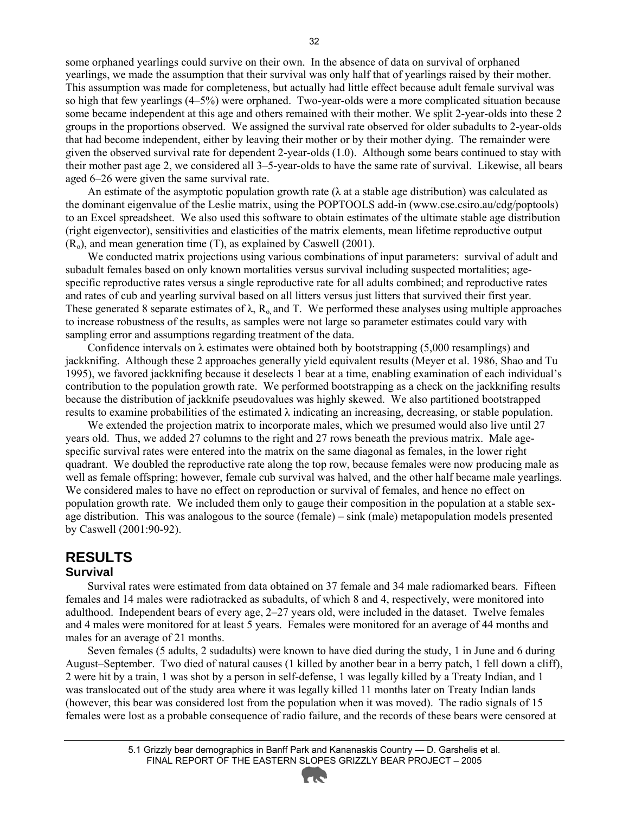some orphaned yearlings could survive on their own. In the absence of data on survival of orphaned yearlings, we made the assumption that their survival was only half that of yearlings raised by their mother. This assumption was made for completeness, but actually had little effect because adult female survival was so high that few yearlings (4–5%) were orphaned. Two-year-olds were a more complicated situation because some became independent at this age and others remained with their mother. We split 2-year-olds into these 2 groups in the proportions observed. We assigned the survival rate observed for older subadults to 2-year-olds that had become independent, either by leaving their mother or by their mother dying. The remainder were given the observed survival rate for dependent 2-year-olds (1.0). Although some bears continued to stay with their mother past age 2, we considered all 3–5-year-olds to have the same rate of survival. Likewise, all bears aged 6–26 were given the same survival rate.

An estimate of the asymptotic population growth rate ( $\lambda$  at a stable age distribution) was calculated as the dominant eigenvalue of the Leslie matrix, using the POPTOOLS add-in (www.cse.csiro.au/cdg/poptools) to an Excel spreadsheet. We also used this software to obtain estimates of the ultimate stable age distribution (right eigenvector), sensitivities and elasticities of the matrix elements, mean lifetime reproductive output  $(R<sub>o</sub>)$ , and mean generation time  $(T)$ , as explained by Caswell (2001).

We conducted matrix projections using various combinations of input parameters: survival of adult and subadult females based on only known mortalities versus survival including suspected mortalities; agespecific reproductive rates versus a single reproductive rate for all adults combined; and reproductive rates and rates of cub and yearling survival based on all litters versus just litters that survived their first year. These generated 8 separate estimates of  $\lambda$ , R<sub>o</sub>, and T. We performed these analyses using multiple approaches to increase robustness of the results, as samples were not large so parameter estimates could vary with sampling error and assumptions regarding treatment of the data.

Confidence intervals on  $\lambda$  estimates were obtained both by bootstrapping (5,000 resamplings) and jackknifing. Although these 2 approaches generally yield equivalent results (Meyer et al. 1986, Shao and Tu 1995), we favored jackknifing because it deselects 1 bear at a time, enabling examination of each individual's contribution to the population growth rate. We performed bootstrapping as a check on the jackknifing results because the distribution of jackknife pseudovalues was highly skewed. We also partitioned bootstrapped results to examine probabilities of the estimated  $\lambda$  indicating an increasing, decreasing, or stable population.

We extended the projection matrix to incorporate males, which we presumed would also live until 27 years old. Thus, we added 27 columns to the right and 27 rows beneath the previous matrix. Male agespecific survival rates were entered into the matrix on the same diagonal as females, in the lower right quadrant. We doubled the reproductive rate along the top row, because females were now producing male as well as female offspring; however, female cub survival was halved, and the other half became male yearlings. We considered males to have no effect on reproduction or survival of females, and hence no effect on population growth rate. We included them only to gauge their composition in the population at a stable sexage distribution. This was analogous to the source (female) – sink (male) metapopulation models presented by Caswell (2001:90-92).

#### **RESULTS Survival**

Survival rates were estimated from data obtained on 37 female and 34 male radiomarked bears. Fifteen females and 14 males were radiotracked as subadults, of which 8 and 4, respectively, were monitored into adulthood. Independent bears of every age, 2–27 years old, were included in the dataset. Twelve females and 4 males were monitored for at least 5 years. Females were monitored for an average of 44 months and males for an average of 21 months.

Seven females (5 adults, 2 sudadults) were known to have died during the study, 1 in June and 6 during August–September. Two died of natural causes (1 killed by another bear in a berry patch, 1 fell down a cliff), 2 were hit by a train, 1 was shot by a person in self-defense, 1 was legally killed by a Treaty Indian, and 1 was translocated out of the study area where it was legally killed 11 months later on Treaty Indian lands (however, this bear was considered lost from the population when it was moved). The radio signals of 15 females were lost as a probable consequence of radio failure, and the records of these bears were censored at

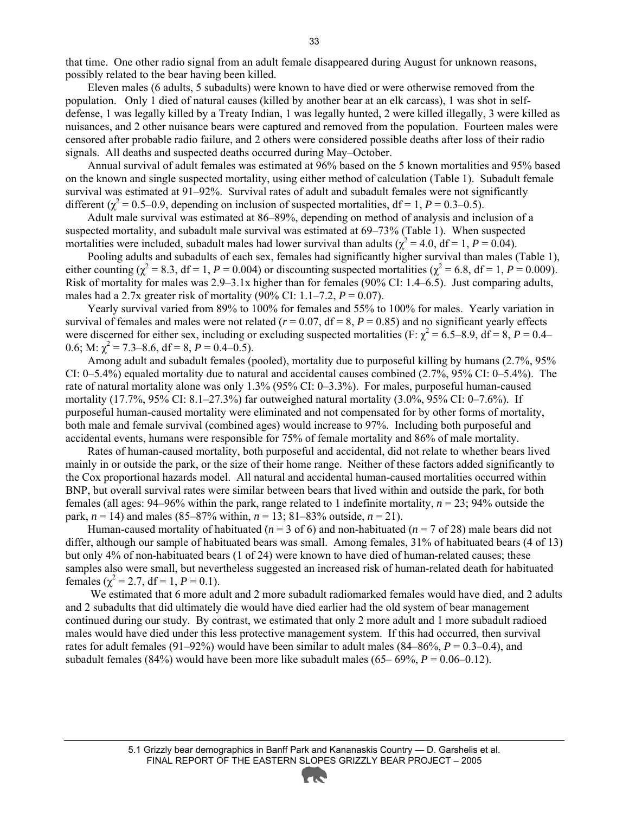that time. One other radio signal from an adult female disappeared during August for unknown reasons, possibly related to the bear having been killed.

Eleven males (6 adults, 5 subadults) were known to have died or were otherwise removed from the population. Only 1 died of natural causes (killed by another bear at an elk carcass), 1 was shot in selfdefense, 1 was legally killed by a Treaty Indian, 1 was legally hunted, 2 were killed illegally, 3 were killed as nuisances, and 2 other nuisance bears were captured and removed from the population. Fourteen males were censored after probable radio failure, and 2 others were considered possible deaths after loss of their radio signals. All deaths and suspected deaths occurred during May–October.

Annual survival of adult females was estimated at 96% based on the 5 known mortalities and 95% based on the known and single suspected mortality, using either method of calculation (Table 1). Subadult female survival was estimated at 91–92%. Survival rates of adult and subadult females were not significantly different ( $\chi^2$  = 0.5–0.9, depending on inclusion of suspected mortalities, df = 1, *P* = 0.3–0.5).

Adult male survival was estimated at 86–89%, depending on method of analysis and inclusion of a suspected mortality, and subadult male survival was estimated at 69–73% (Table 1). When suspected mortalities were included, subadult males had lower survival than adults ( $\chi^2 = 4.0$ , df = 1, P = 0.04).

Pooling adults and subadults of each sex, females had significantly higher survival than males (Table 1), either counting ( $\chi^2$  = 8.3, df = 1, *P* = 0.004) or discounting suspected mortalities ( $\chi^2$  = 6.8, df = 1, *P* = 0.009). Risk of mortality for males was 2.9–3.1x higher than for females (90% CI: 1.4–6.5). Just comparing adults, males had a 2.7x greater risk of mortality (90% CI:  $1.1 - 7.2$ ,  $P = 0.07$ ).

Yearly survival varied from 89% to 100% for females and 55% to 100% for males. Yearly variation in survival of females and males were not related ( $r = 0.07$ ,  $df = 8$ ,  $P = 0.85$ ) and no significant yearly effects were discerned for either sex, including or excluding suspected mortalities (F:  $\chi^2 = 6.5-8.9$ , df = 8, P = 0.4– 0.6; M:  $\chi^2$  = 7.3–8.6, df = 8, *P* = 0.4–0.5).

Among adult and subadult females (pooled), mortality due to purposeful killing by humans (2.7%, 95% CI: 0–5.4%) equaled mortality due to natural and accidental causes combined (2.7%, 95% CI: 0–5.4%). The rate of natural mortality alone was only 1.3% (95% CI: 0–3.3%). For males, purposeful human-caused mortality (17.7%, 95% CI:  $8.1 - 27.3$ %) far outweighed natural mortality (3.0%, 95% CI: 0–7.6%). If purposeful human-caused mortality were eliminated and not compensated for by other forms of mortality, both male and female survival (combined ages) would increase to 97%. Including both purposeful and accidental events, humans were responsible for 75% of female mortality and 86% of male mortality.

Rates of human-caused mortality, both purposeful and accidental, did not relate to whether bears lived mainly in or outside the park, or the size of their home range. Neither of these factors added significantly to the Cox proportional hazards model. All natural and accidental human-caused mortalities occurred within BNP, but overall survival rates were similar between bears that lived within and outside the park, for both females (all ages: 94–96% within the park, range related to 1 indefinite mortality, *n* = 23; 94% outside the park,  $n = 14$ ) and males (85–87% within,  $n = 13$ ; 81–83% outside,  $n = 21$ ).

Human-caused mortality of habituated ( $n = 3$  of 6) and non-habituated ( $n = 7$  of 28) male bears did not differ, although our sample of habituated bears was small. Among females, 31% of habituated bears (4 of 13) but only 4% of non-habituated bears (1 of 24) were known to have died of human-related causes; these samples also were small, but nevertheless suggested an increased risk of human-related death for habituated females ( $\chi^2 = 2.7$ , df = 1, P = 0.1).

We estimated that 6 more adult and 2 more subadult radiomarked females would have died, and 2 adults and 2 subadults that did ultimately die would have died earlier had the old system of bear management continued during our study. By contrast, we estimated that only 2 more adult and 1 more subadult radioed males would have died under this less protective management system. If this had occurred, then survival rates for adult females (91–92%) would have been similar to adult males (84–86%, *P* = 0.3–0.4), and subadult females (84%) would have been more like subadult males (65– 69%, *P* = 0.06–0.12).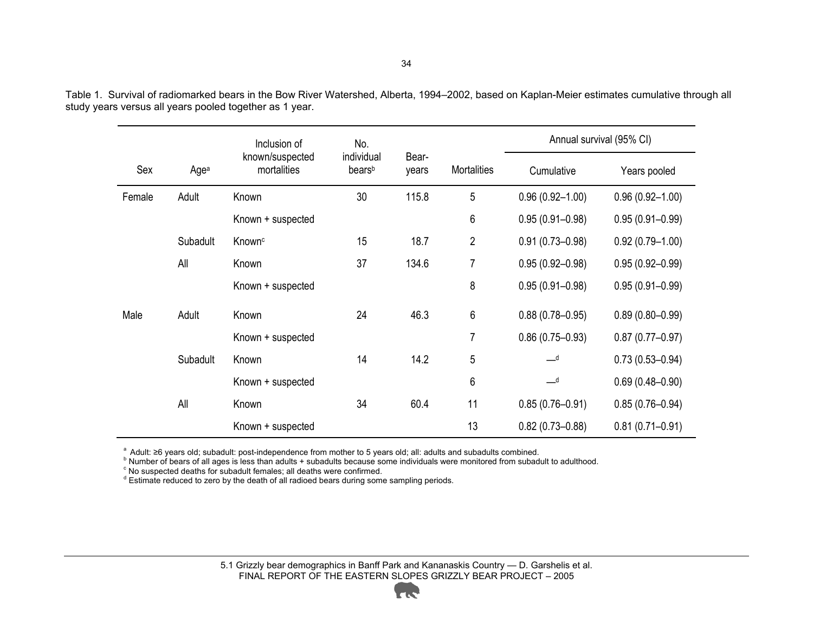|        |          | Inclusion of                   | No.                              |                |                    | Annual survival (95% CI)   |                     |  |  |
|--------|----------|--------------------------------|----------------------------------|----------------|--------------------|----------------------------|---------------------|--|--|
| Sex    | Agea     | known/suspected<br>mortalities | individual<br>bears <sup>b</sup> | Bear-<br>years | <b>Mortalities</b> | Cumulative                 | Years pooled        |  |  |
| Female | Adult    | Known                          | 30                               | 115.8          | 5                  | $0.96(0.92 - 1.00)$        | $0.96(0.92 - 1.00)$ |  |  |
|        |          | Known + suspected              |                                  |                | 6                  | $0.95(0.91 - 0.98)$        | $0.95(0.91 - 0.99)$ |  |  |
|        | Subadult | Known <sup>c</sup>             | 15                               | 18.7           | $\overline{2}$     | $0.91(0.73 - 0.98)$        | $0.92(0.79 - 1.00)$ |  |  |
| All    |          | Known                          | 37                               | 134.6          | 7                  | $0.95(0.92 - 0.98)$        | $0.95(0.92 - 0.99)$ |  |  |
|        |          | Known + suspected              |                                  |                | 8                  | $0.95(0.91 - 0.98)$        | $0.95(0.91 - 0.99)$ |  |  |
| Male   | Adult    | Known                          | 24                               | 46.3           | 6                  | $0.88(0.78 - 0.95)$        | $0.89(0.80 - 0.99)$ |  |  |
|        |          | Known + suspected              |                                  |                | 7                  | $0.86(0.75 - 0.93)$        | $0.87(0.77 - 0.97)$ |  |  |
|        | Subadult | Known                          | 14                               | 14.2           | 5                  | $\overline{\phantom{a}}$ d | $0.73(0.53 - 0.94)$ |  |  |
|        |          | Known + suspected              |                                  |                | 6                  | $-d$                       | $0.69(0.48 - 0.90)$ |  |  |
| All    |          | Known                          | 34                               | 60.4           | 11                 | $0.85(0.76 - 0.91)$        | $0.85(0.76 - 0.94)$ |  |  |
|        |          | Known + suspected              |                                  |                | 13                 | $0.82(0.73 - 0.88)$        | $0.81(0.71 - 0.91)$ |  |  |

Table 1. Survival of radiomarked bears in the Bow River Watershed, Alberta, 1994–2002, based on Kaplan-Meier estimates cumulative through all study years versus all years pooled together as 1 year.

 $^a$  Adult:  $\geq$ 6 years old; subadult: post-independence from mother to 5 years old; all: adults and subadults combined.<br>
<sup>b</sup> Number of bears of all ages is less than adults + subadults because some individuals were moni

 $\textdegree$  No suspected deaths for subadult females; all deaths were confirmed.

<sup>d</sup> Estimate reduced to zero by the death of all radioed bears during some sampling periods.

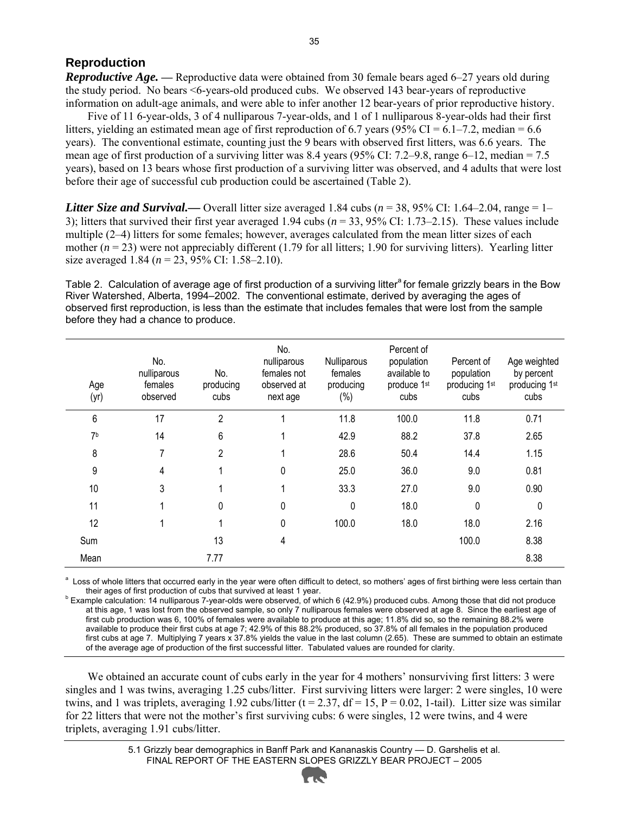#### **Reproduction**

*Reproductive Age.* — Reproductive data were obtained from 30 female bears aged 6–27 years old during the study period. No bears <6-years-old produced cubs. We observed 143 bear-years of reproductive information on adult-age animals, and were able to infer another 12 bear-years of prior reproductive history.

Five of 11 6-year-olds, 3 of 4 nulliparous 7-year-olds, and 1 of 1 nulliparous 8-year-olds had their first litters, yielding an estimated mean age of first reproduction of 6.7 years (95% CI =  $6.1$ –7.2, median =  $6.6$ ) years). The conventional estimate, counting just the 9 bears with observed first litters, was 6.6 years. The mean age of first production of a surviving litter was 8.4 years (95% CI: 7.2–9.8, range 6–12, median = 7.5 years), based on 13 bears whose first production of a surviving litter was observed, and 4 adults that were lost before their age of successful cub production could be ascertained (Table 2).

*Litter Size and Survival.*— Overall litter size averaged 1.84 cubs ( $n = 38,95\%$  CI: 1.64–2.04, range = 1– 3); litters that survived their first year averaged 1.94 cubs (*n* = 33, 95% CI: 1.73–2.15). These values include multiple (2–4) litters for some females; however, averages calculated from the mean litter sizes of each mother  $(n = 23)$  were not appreciably different (1.79 for all litters; 1.90 for surviving litters). Yearling litter size averaged 1.84 (*n* = 23, 95% CI: 1.58–2.10).

Table 2. Calculation of average age of first production of a surviving litter<sup>a</sup> for female grizzly bears in the Bow River Watershed, Alberta, 1994–2002. The conventional estimate, derived by averaging the ages of observed first reproduction, is less than the estimate that includes females that were lost from the sample before they had a chance to produce.

| Age<br>(yr)    | No.<br>nulliparous<br>females<br>observed | No.<br>producing<br>cubs | No.<br>nulliparous<br>females not<br>observed at<br>next age | Nulliparous<br>females<br>producing<br>$(\%)$ | Percent of<br>population<br>available to<br>produce 1st<br>cubs | Percent of<br>population<br>producing 1st<br>cubs | Age weighted<br>by percent<br>producing 1st<br>cubs |
|----------------|-------------------------------------------|--------------------------|--------------------------------------------------------------|-----------------------------------------------|-----------------------------------------------------------------|---------------------------------------------------|-----------------------------------------------------|
| 6              | 17                                        | $\overline{2}$           |                                                              | 11.8                                          | 100.0                                                           | 11.8                                              | 0.71                                                |
| 7 <sup>b</sup> | 14                                        | 6                        |                                                              | 42.9                                          | 88.2                                                            | 37.8                                              | 2.65                                                |
| 8              | 7                                         | $\overline{2}$           |                                                              | 28.6                                          | 50.4                                                            | 14.4                                              | 1.15                                                |
| 9              | 4                                         |                          | 0                                                            | 25.0                                          | 36.0                                                            | 9.0                                               | 0.81                                                |
| 10             | 3                                         |                          | 1                                                            | 33.3                                          | 27.0                                                            | 9.0                                               | 0.90                                                |
| 11             |                                           | 0                        | $\mathbf 0$                                                  | $\Omega$                                      | 18.0                                                            | 0                                                 | $\Omega$                                            |
| 12             |                                           |                          | $\mathbf 0$                                                  | 100.0                                         | 18.0                                                            | 18.0                                              | 2.16                                                |
| Sum            |                                           | 13                       | 4                                                            |                                               |                                                                 | 100.0                                             | 8.38                                                |
| Mean           |                                           | 7.77                     |                                                              |                                               |                                                                 |                                                   | 8.38                                                |

<sup>a</sup> Loss of whole litters that occurred early in the year were often difficult to detect, so mothers' ages of first birthing were less certain than their ages of first production of cubs that survived at least 1 year.

 $^{\circ}$  Example calculation: 14 nulliparous 7-year-olds were observed, of which 6 (42.9%) produced cubs. Among those that did not produce at this age, 1 was lost from the observed sample, so only 7 nulliparous females were observed at age 8. Since the earliest age of first cub production was 6, 100% of females were available to produce at this age; 11.8% did so, so the remaining 88.2% were available to produce their first cubs at age 7; 42.9% of this 88.2% produced, so 37.8% of all females in the population produced first cubs at age 7. Multiplying 7 years x 37.8% yields the value in the last column (2.65). These are summed to obtain an estimate of the average age of production of the first successful litter. Tabulated values are rounded for clarity.

We obtained an accurate count of cubs early in the year for 4 mothers' nonsurviving first litters: 3 were singles and 1 was twins, averaging 1.25 cubs/litter. First surviving litters were larger: 2 were singles, 10 were twins, and 1 was triplets, averaging 1.92 cubs/litter (t = 2.37, df = 15,  $P = 0.02$ , 1-tail). Litter size was similar for 22 litters that were not the mother's first surviving cubs: 6 were singles, 12 were twins, and 4 were triplets, averaging 1.91 cubs/litter.

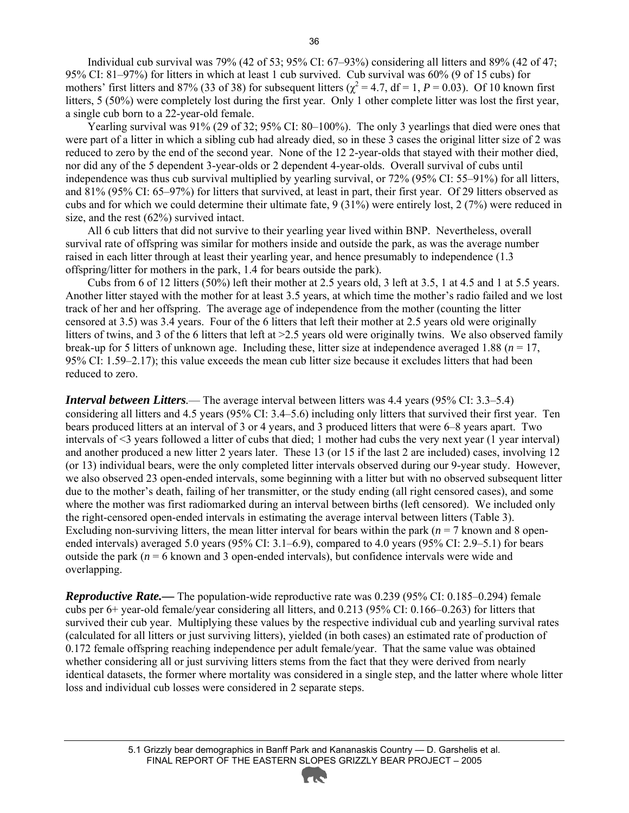Individual cub survival was 79% (42 of 53; 95% CI: 67–93%) considering all litters and 89% (42 of 47; 95% CI: 81–97%) for litters in which at least 1 cub survived. Cub survival was 60% (9 of 15 cubs) for mothers' first litters and 87% (33 of 38) for subsequent litters ( $\chi^2 = 4.7$ , df = 1, *P* = 0.03). Of 10 known first litters, 5 (50%) were completely lost during the first year. Only 1 other complete litter was lost the first year, a single cub born to a 22-year-old female.

Yearling survival was 91% (29 of 32; 95% CI: 80–100%). The only 3 yearlings that died were ones that were part of a litter in which a sibling cub had already died, so in these 3 cases the original litter size of 2 was reduced to zero by the end of the second year. None of the 12 2-year-olds that stayed with their mother died, nor did any of the 5 dependent 3-year-olds or 2 dependent 4-year-olds. Overall survival of cubs until independence was thus cub survival multiplied by yearling survival, or 72% (95% CI: 55–91%) for all litters, and 81% (95% CI: 65–97%) for litters that survived, at least in part, their first year. Of 29 litters observed as cubs and for which we could determine their ultimate fate, 9 (31%) were entirely lost, 2 (7%) were reduced in size, and the rest (62%) survived intact.

All 6 cub litters that did not survive to their yearling year lived within BNP. Nevertheless, overall survival rate of offspring was similar for mothers inside and outside the park, as was the average number raised in each litter through at least their yearling year, and hence presumably to independence (1.3) offspring/litter for mothers in the park, 1.4 for bears outside the park).

Cubs from 6 of 12 litters (50%) left their mother at 2.5 years old, 3 left at 3.5, 1 at 4.5 and 1 at 5.5 years. Another litter stayed with the mother for at least 3.5 years, at which time the mother's radio failed and we lost track of her and her offspring. The average age of independence from the mother (counting the litter censored at 3.5) was 3.4 years. Four of the 6 litters that left their mother at 2.5 years old were originally litters of twins, and 3 of the 6 litters that left at >2.5 years old were originally twins. We also observed family break-up for 5 litters of unknown age. Including these, litter size at independence averaged 1.88 (*n* = 17, 95% CI: 1.59–2.17); this value exceeds the mean cub litter size because it excludes litters that had been reduced to zero.

*Interval between Litters.*— The average interval between litters was 4.4 years (95% CI: 3.3–5.4) considering all litters and 4.5 years (95% CI: 3.4–5.6) including only litters that survived their first year. Ten bears produced litters at an interval of 3 or 4 years, and 3 produced litters that were 6–8 years apart. Two intervals of <3 years followed a litter of cubs that died; 1 mother had cubs the very next year (1 year interval) and another produced a new litter 2 years later. These 13 (or 15 if the last 2 are included) cases, involving 12 (or 13) individual bears, were the only completed litter intervals observed during our 9-year study. However, we also observed 23 open-ended intervals, some beginning with a litter but with no observed subsequent litter due to the mother's death, failing of her transmitter, or the study ending (all right censored cases), and some where the mother was first radiomarked during an interval between births (left censored). We included only the right-censored open-ended intervals in estimating the average interval between litters (Table 3). Excluding non-surviving litters, the mean litter interval for bears within the park ( $n = 7$  known and 8 openended intervals) averaged 5.0 years (95% CI: 3.1–6.9), compared to 4.0 years (95% CI: 2.9–5.1) for bears outside the park  $(n = 6$  known and 3 open-ended intervals), but confidence intervals were wide and overlapping.

*Reproductive Rate.*— The population-wide reproductive rate was 0.239 (95% CI: 0.185–0.294) female cubs per 6+ year-old female/year considering all litters, and 0.213 (95% CI: 0.166–0.263) for litters that survived their cub year. Multiplying these values by the respective individual cub and yearling survival rates (calculated for all litters or just surviving litters), yielded (in both cases) an estimated rate of production of 0.172 female offspring reaching independence per adult female/year. That the same value was obtained whether considering all or just surviving litters stems from the fact that they were derived from nearly identical datasets, the former where mortality was considered in a single step, and the latter where whole litter loss and individual cub losses were considered in 2 separate steps.

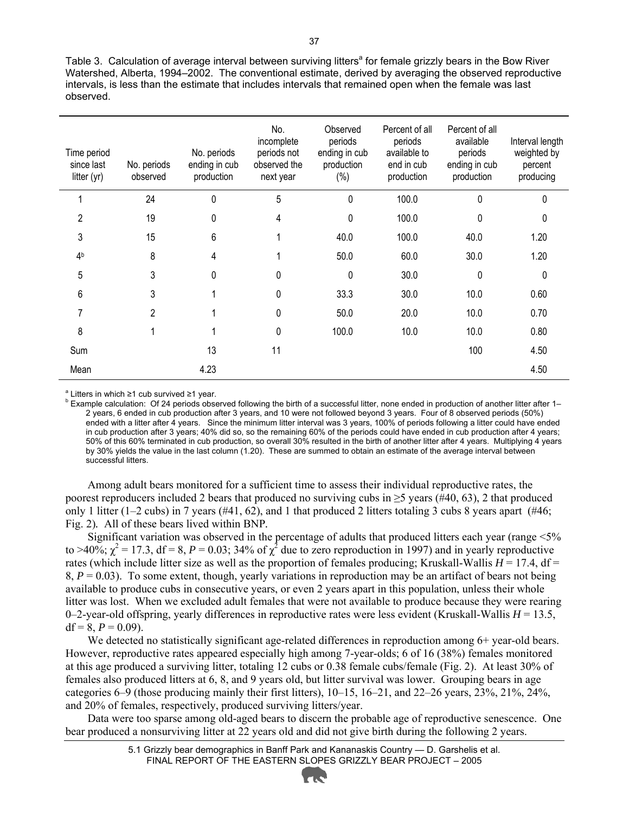Table 3. Calculation of average interval between surviving litters<sup>a</sup> for female grizzly bears in the Bow River Watershed, Alberta, 1994–2002. The conventional estimate, derived by averaging the observed reproductive intervals, is less than the estimate that includes intervals that remained open when the female was last observed.

| Time period<br>since last<br>litter (yr) | No. periods<br>observed | No. periods<br>ending in cub<br>production | No.<br>incomplete<br>periods not<br>observed the<br>next year | Observed<br>periods<br>ending in cub<br>production<br>(%) | Percent of all<br>periods<br>available to<br>end in cub<br>production | Percent of all<br>available<br>periods<br>ending in cub<br>production | Interval length<br>weighted by<br>percent<br>producing |
|------------------------------------------|-------------------------|--------------------------------------------|---------------------------------------------------------------|-----------------------------------------------------------|-----------------------------------------------------------------------|-----------------------------------------------------------------------|--------------------------------------------------------|
|                                          | 24                      | 0                                          | 5                                                             | $\mathbf 0$                                               | 100.0                                                                 | 0                                                                     | 0                                                      |
| $\overline{2}$                           | 19                      | 0                                          | 4                                                             | $\Omega$                                                  | 100.0                                                                 | 0                                                                     | 0                                                      |
| 3                                        | 15                      | 6                                          |                                                               | 40.0                                                      | 100.0                                                                 | 40.0                                                                  | 1.20                                                   |
| 4 <sup>b</sup>                           | 8                       | 4                                          |                                                               | 50.0                                                      | 60.0                                                                  | 30.0                                                                  | 1.20                                                   |
| 5                                        | 3                       | $\Omega$                                   | 0                                                             | $\Omega$                                                  | 30.0                                                                  | $\Omega$                                                              | 0                                                      |
| 6                                        | 3                       |                                            | 0                                                             | 33.3                                                      | 30.0                                                                  | 10.0                                                                  | 0.60                                                   |
| 7                                        | 2                       |                                            | 0                                                             | 50.0                                                      | 20.0                                                                  | 10.0                                                                  | 0.70                                                   |
| 8                                        |                         |                                            | $\pmb{0}$                                                     | 100.0                                                     | 10.0                                                                  | 10.0                                                                  | 0.80                                                   |
| Sum                                      |                         | 13                                         | 11                                                            |                                                           |                                                                       | 100                                                                   | 4.50                                                   |
| Mean                                     |                         | 4.23                                       |                                                               |                                                           |                                                                       |                                                                       | 4.50                                                   |

<sup>a</sup> Litters in which ≥1 cub survived ≥1 year.<br><sup>b</sup> Example coloulation: Of 24 periode abos

<sup>b</sup> Example calculation: Of 24 periods observed following the birth of a successful litter, none ended in production of another litter after 1– 2 years, 6 ended in cub production after 3 years, and 10 were not followed beyond 3 years. Four of 8 observed periods (50%) ended with a litter after 4 years. Since the minimum litter interval was 3 years, 100% of periods following a litter could have ended in cub production after 3 years; 40% did so, so the remaining 60% of the periods could have ended in cub production after 4 years; 50% of this 60% terminated in cub production, so overall 30% resulted in the birth of another litter after 4 years. Multiplying 4 years by 30% yields the value in the last column (1.20). These are summed to obtain an estimate of the average interval between successful litters.

Among adult bears monitored for a sufficient time to assess their individual reproductive rates, the poorest reproducers included 2 bears that produced no surviving cubs in  $\geq$  years (#40, 63), 2 that produced only 1 litter (1–2 cubs) in 7 years (#41, 62), and 1 that produced 2 litters totaling 3 cubs 8 years apart (#46; Fig. 2)*.* All of these bears lived within BNP*.* 

Significant variation was observed in the percentage of adults that produced litters each year (range <5% to >40%;  $\chi^2$  = 17.3, df = 8, P = 0.03; 34% of  $\chi^2$  due to zero reproduction in 1997) and in yearly reproductive rates (which include litter size as well as the proportion of females producing; Kruskall-Wallis  $H = 17.4$ , df = 8,  $P = 0.03$ ). To some extent, though, yearly variations in reproduction may be an artifact of bears not being available to produce cubs in consecutive years, or even 2 years apart in this population, unless their whole litter was lost. When we excluded adult females that were not available to produce because they were rearing 0–2-year-old offspring, yearly differences in reproductive rates were less evident (Kruskall-Wallis *H* = 13.5, df = 8,  $P = 0.09$ ).

We detected no statistically significant age-related differences in reproduction among 6+ year-old bears. However, reproductive rates appeared especially high among 7-year-olds; 6 of 16 (38%) females monitored at this age produced a surviving litter, totaling 12 cubs or 0.38 female cubs/female (Fig. 2). At least 30% of females also produced litters at 6, 8, and 9 years old, but litter survival was lower. Grouping bears in age categories 6–9 (those producing mainly their first litters), 10–15, 16–21, and 22–26 years, 23%, 21%, 24%, and 20% of females, respectively, produced surviving litters/year.

Data were too sparse among old-aged bears to discern the probable age of reproductive senescence. One bear produced a nonsurviving litter at 22 years old and did not give birth during the following 2 years.

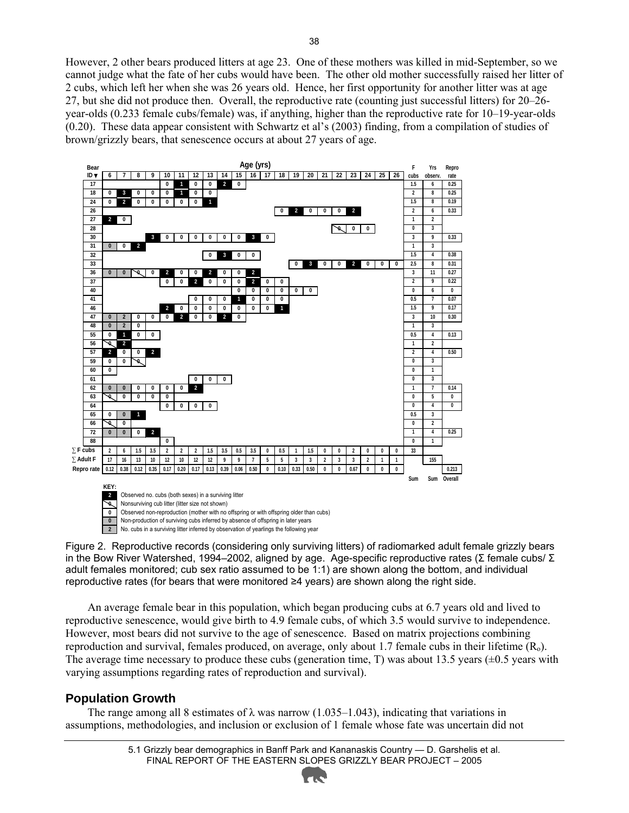However, 2 other bears produced litters at age 23. One of these mothers was killed in mid-September, so we cannot judge what the fate of her cubs would have been. The other old mother successfully raised her litter of 2 cubs, which left her when she was 26 years old. Hence, her first opportunity for another litter was at age 27, but she did not produce then. Overall, the reproductive rate (counting just successful litters) for 20–26 year-olds (0.233 female cubs/female) was, if anything, higher than the reproductive rate for 10–19-year-olds (0.20). These data appear consistent with Schwartz et al's (2003) finding, from a compilation of studies of brown/grizzly bears, that senescence occurs at about 27 years of age.



Figure 2. Reproductive records (considering only surviving litters) of radiomarked adult female grizzly bears in the Bow River Watershed, 1994–2002, aligned by age. Age-specific reproductive rates (Σ female cubs/ Σ adult females monitored; cub sex ratio assumed to be 1:1) are shown along the bottom, and individual reproductive rates (for bears that were monitored ≥4 years) are shown along the right side.

An average female bear in this population, which began producing cubs at 6.7 years old and lived to reproductive senescence, would give birth to 4.9 female cubs, of which 3.5 would survive to independence. However, most bears did not survive to the age of senescence. Based on matrix projections combining reproduction and survival, females produced, on average, only about 1.7 female cubs in their lifetime  $(R_0)$ . The average time necessary to produce these cubs (generation time, T) was about 13.5 years  $(\pm 0.5$  years with varying assumptions regarding rates of reproduction and survival).

#### **Population Growth**

The range among all 8 estimates of  $\lambda$  was narrow (1.035–1.043), indicating that variations in assumptions, methodologies, and inclusion or exclusion of 1 female whose fate was uncertain did not

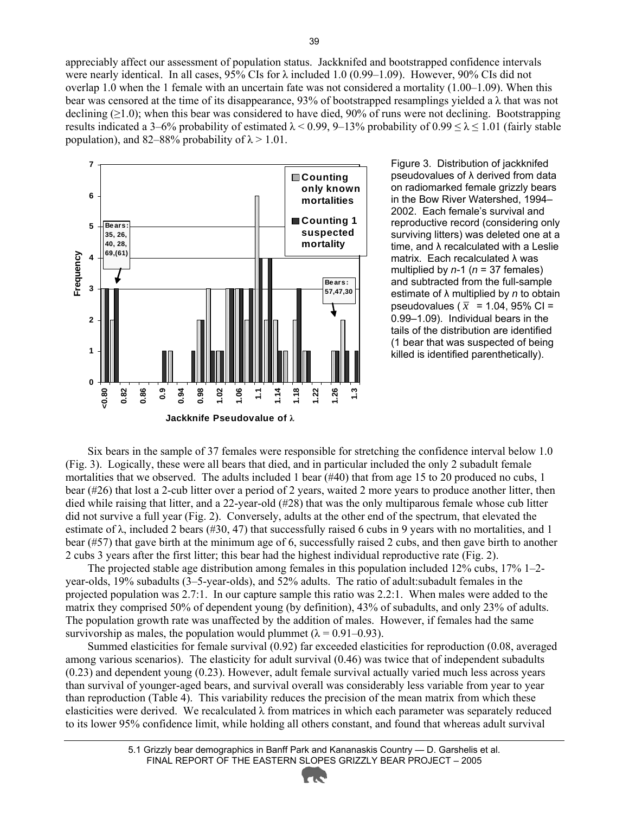appreciably affect our assessment of population status. Jackknifed and bootstrapped confidence intervals were nearly identical. In all cases, 95% CIs for  $\lambda$  included 1.0 (0.99–1.09). However, 90% CIs did not overlap 1.0 when the 1 female with an uncertain fate was not considered a mortality (1.00–1.09). When this bear was censored at the time of its disappearance, 93% of bootstrapped resamplings yielded a  $\lambda$  that was not declining  $(\geq 1.0)$ ; when this bear was considered to have died, 90% of runs were not declining. Bootstrapping results indicated a 3–6% probability of estimated  $\lambda$  < 0.99, 9–13% probability of 0.99  $\leq \lambda \leq 1.01$  (fairly stable population), and 82–88% probability of  $\lambda$  > 1.01.



Figure 3. Distribution of jackknifed pseudovalues of λ derived from data on radiomarked female grizzly bears in the Bow River Watershed, 1994– 2002. Each female's survival and reproductive record (considering only surviving litters) was deleted one at a time, and λ recalculated with a Leslie matrix. Each recalculated λ was multiplied by *n*-1 (*n* = 37 females) and subtracted from the full-sample estimate of λ multiplied by *n* to obtain pseudovalues ( $\bar{x}$  = 1.04, 95% CI = 0.99–1.09). Individual bears in the tails of the distribution are identified (1 bear that was suspected of being killed is identified parenthetically).

Six bears in the sample of 37 females were responsible for stretching the confidence interval below 1.0 (Fig. 3). Logically, these were all bears that died, and in particular included the only 2 subadult female mortalities that we observed. The adults included 1 bear (#40) that from age 15 to 20 produced no cubs, 1 bear (#26) that lost a 2-cub litter over a period of 2 years, waited 2 more years to produce another litter, then died while raising that litter, and a 22-year-old (#28) that was the only multiparous female whose cub litter did not survive a full year (Fig. 2). Conversely, adults at the other end of the spectrum, that elevated the estimate of  $\lambda$ , included 2 bears (#30, 47) that successfully raised 6 cubs in 9 years with no mortalities, and 1 bear (#57) that gave birth at the minimum age of 6, successfully raised 2 cubs, and then gave birth to another 2 cubs 3 years after the first litter; this bear had the highest individual reproductive rate (Fig. 2).

The projected stable age distribution among females in this population included 12% cubs, 17% 1–2 year-olds, 19% subadults (3–5-year-olds), and 52% adults. The ratio of adult:subadult females in the projected population was 2.7:1. In our capture sample this ratio was 2.2:1. When males were added to the matrix they comprised 50% of dependent young (by definition), 43% of subadults, and only 23% of adults. The population growth rate was unaffected by the addition of males. However, if females had the same survivorship as males, the population would plummet ( $\lambda = 0.91 - 0.93$ ).

Summed elasticities for female survival (0.92) far exceeded elasticities for reproduction (0.08, averaged among various scenarios). The elasticity for adult survival (0.46) was twice that of independent subadults (0.23) and dependent young (0.23). However, adult female survival actually varied much less across years than survival of younger-aged bears, and survival overall was considerably less variable from year to year than reproduction (Table 4). This variability reduces the precision of the mean matrix from which these elasticities were derived. We recalculated  $\lambda$  from matrices in which each parameter was separately reduced to its lower 95% confidence limit, while holding all others constant, and found that whereas adult survival

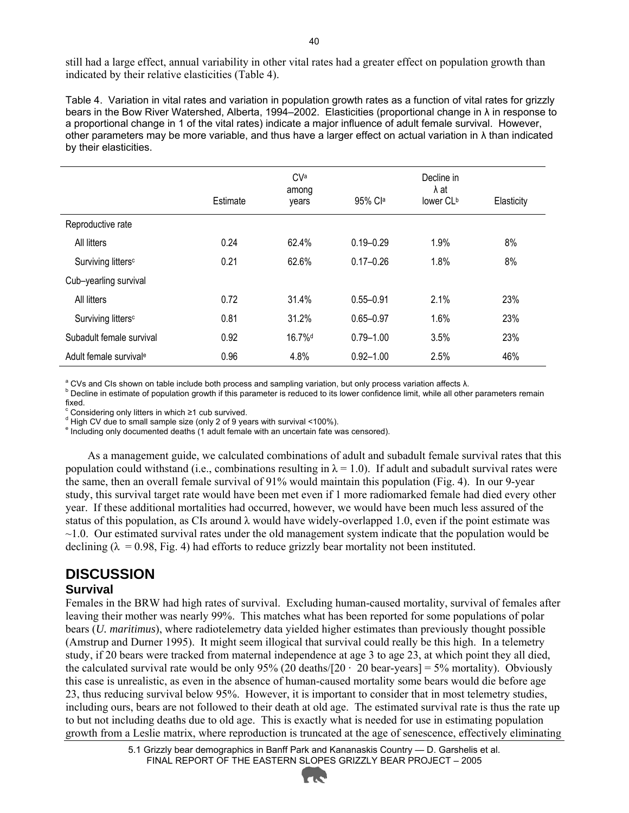still had a large effect, annual variability in other vital rates had a greater effect on population growth than indicated by their relative elasticities (Table 4).

Table 4. Variation in vital rates and variation in population growth rates as a function of vital rates for grizzly bears in the Bow River Watershed, Alberta, 1994–2002. Elasticities (proportional change in λ in response to a proportional change in 1 of the vital rates) indicate a major influence of adult female survival. However, other parameters may be more variable, and thus have a larger effect on actual variation in λ than indicated by their elasticities.

|                                | Estimate | CVa<br>among<br>years | 95% Cla       | Decline in<br>λat<br>lower CL <sup>b</sup> | Elasticity |
|--------------------------------|----------|-----------------------|---------------|--------------------------------------------|------------|
| Reproductive rate              |          |                       |               |                                            |            |
| All litters                    | 0.24     | 62.4%                 | $0.19 - 0.29$ | 1.9%                                       | 8%         |
| Surviving litters <sup>c</sup> | 0.21     | 62.6%                 | $0.17 - 0.26$ | 1.8%                                       | 8%         |
| Cub-yearling survival          |          |                       |               |                                            |            |
| All litters                    | 0.72     | 31.4%                 | $0.55 - 0.91$ | 2.1%                                       | 23%        |
| Surviving litters <sup>c</sup> | 0.81     | 31.2%                 | $0.65 - 0.97$ | 1.6%                                       | 23%        |
| Subadult female survival       | 0.92     | 16.7% <sup>d</sup>    | $0.79 - 1.00$ | 3.5%                                       | 23%        |
| Adult female survivale         | 0.96     | 4.8%                  | $0.92 - 1.00$ | 2.5%                                       | 46%        |

<sup>a</sup> CVs and CIs shown on table include both process and sampling variation, but only process variation affects  $λ$ .<br><sup>b</sup> Desline in estimate of population arouth if this perspects is reduced to its lower confidence limit

Decline in estimate of population growth if this parameter is reduced to its lower confidence limit, while all other parameters remain fixed.

<sup>c</sup> Considering only litters in which ≥1 cub survived.<br>d Uich CV due to emall comple size (only 2 of 0 vec

<sup>d</sup> High CV due to small sample size (only 2 of 9 years with survival <100%).

<sup>e</sup> Including only documented deaths (1 adult female with an uncertain fate was censored).

As a management guide, we calculated combinations of adult and subadult female survival rates that this population could withstand (i.e., combinations resulting in  $\lambda = 1.0$ ). If adult and subadult survival rates were the same, then an overall female survival of 91% would maintain this population (Fig. 4). In our 9-year study, this survival target rate would have been met even if 1 more radiomarked female had died every other year. If these additional mortalities had occurred, however, we would have been much less assured of the status of this population, as CIs around  $\lambda$  would have widely-overlapped 1.0, even if the point estimate was  $\sim$ 1.0. Our estimated survival rates under the old management system indicate that the population would be declining ( $\lambda = 0.98$ , Fig. 4) had efforts to reduce grizzly bear mortality not been instituted.

#### **DISCUSSION**

#### **Survival**

Females in the BRW had high rates of survival. Excluding human-caused mortality, survival of females after leaving their mother was nearly 99%. This matches what has been reported for some populations of polar bears (*U. maritimus*), where radiotelemetry data yielded higher estimates than previously thought possible (Amstrup and Durner 1995). It might seem illogical that survival could really be this high. In a telemetry study, if 20 bears were tracked from maternal independence at age 3 to age 23, at which point they all died, the calculated survival rate would be only 95% (20 deaths/ $[20 \cdot 20 \text{ bear-years}] = 5\%$  mortality). Obviously this case is unrealistic, as even in the absence of human-caused mortality some bears would die before age 23, thus reducing survival below 95%. However, it is important to consider that in most telemetry studies, including ours, bears are not followed to their death at old age. The estimated survival rate is thus the rate up to but not including deaths due to old age. This is exactly what is needed for use in estimating population growth from a Leslie matrix, where reproduction is truncated at the age of senescence, effectively eliminating

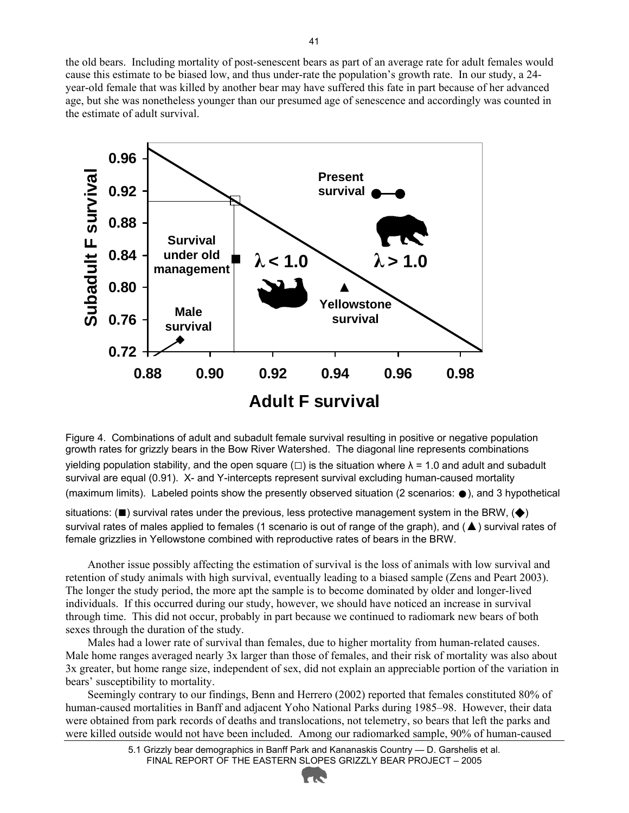the old bears. Including mortality of post-senescent bears as part of an average rate for adult females would cause this estimate to be biased low, and thus under-rate the population's growth rate. In our study, a 24 year-old female that was killed by another bear may have suffered this fate in part because of her advanced age, but she was nonetheless younger than our presumed age of senescence and accordingly was counted in the estimate of adult survival.



Figure 4. Combinations of adult and subadult female survival resulting in positive or negative population growth rates for grizzly bears in the Bow River Watershed. The diagonal line represents combinations

yielding population stability, and the open square ( $\square$ ) is the situation where  $\lambda = 1.0$  and adult and subadult survival are equal (0.91). X- and Y-intercepts represent survival excluding human-caused mortality (maximum limits). Labeled points show the presently observed situation (2 scenarios: ●), and 3 hypothetical

situations: ( $\blacksquare$ ) survival rates under the previous, less protective management system in the BRW,  $\blacklozenge$ ) survival rates of males applied to females (1 scenario is out of range of the graph), and (▲) survival rates of female grizzlies in Yellowstone combined with reproductive rates of bears in the BRW.

Another issue possibly affecting the estimation of survival is the loss of animals with low survival and retention of study animals with high survival, eventually leading to a biased sample (Zens and Peart 2003). The longer the study period, the more apt the sample is to become dominated by older and longer-lived individuals. If this occurred during our study, however, we should have noticed an increase in survival through time. This did not occur, probably in part because we continued to radiomark new bears of both sexes through the duration of the study.

Males had a lower rate of survival than females, due to higher mortality from human-related causes. Male home ranges averaged nearly 3x larger than those of females, and their risk of mortality was also about 3x greater, but home range size, independent of sex, did not explain an appreciable portion of the variation in bears' susceptibility to mortality.

Seemingly contrary to our findings, Benn and Herrero (2002) reported that females constituted 80% of human-caused mortalities in Banff and adjacent Yoho National Parks during 1985–98. However, their data were obtained from park records of deaths and translocations, not telemetry, so bears that left the parks and were killed outside would not have been included. Among our radiomarked sample, 90% of human-caused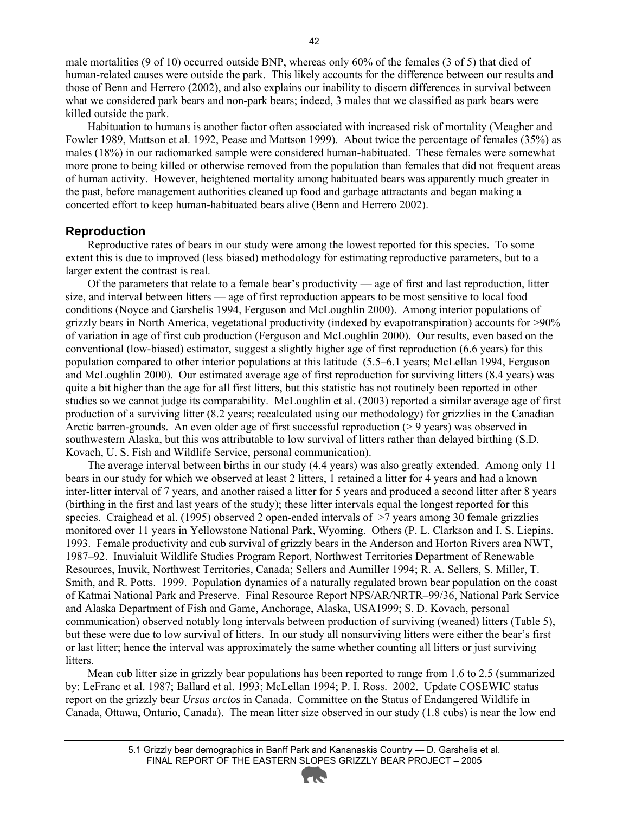male mortalities (9 of 10) occurred outside BNP, whereas only 60% of the females (3 of 5) that died of human-related causes were outside the park. This likely accounts for the difference between our results and those of Benn and Herrero (2002), and also explains our inability to discern differences in survival between what we considered park bears and non-park bears; indeed, 3 males that we classified as park bears were killed outside the park.

Habituation to humans is another factor often associated with increased risk of mortality (Meagher and Fowler 1989, Mattson et al. 1992, Pease and Mattson 1999). About twice the percentage of females (35%) as males (18%) in our radiomarked sample were considered human-habituated. These females were somewhat more prone to being killed or otherwise removed from the population than females that did not frequent areas of human activity. However, heightened mortality among habituated bears was apparently much greater in the past, before management authorities cleaned up food and garbage attractants and began making a concerted effort to keep human-habituated bears alive (Benn and Herrero 2002).

#### **Reproduction**

Reproductive rates of bears in our study were among the lowest reported for this species. To some extent this is due to improved (less biased) methodology for estimating reproductive parameters, but to a larger extent the contrast is real.

Of the parameters that relate to a female bear's productivity — age of first and last reproduction, litter size, and interval between litters — age of first reproduction appears to be most sensitive to local food conditions (Noyce and Garshelis 1994, Ferguson and McLoughlin 2000). Among interior populations of grizzly bears in North America, vegetational productivity (indexed by evapotranspiration) accounts for >90% of variation in age of first cub production (Ferguson and McLoughlin 2000). Our results, even based on the conventional (low-biased) estimator, suggest a slightly higher age of first reproduction (6.6 years) for this population compared to other interior populations at this latitude (5.5–6.1 years; McLellan 1994, Ferguson and McLoughlin 2000). Our estimated average age of first reproduction for surviving litters (8.4 years) was quite a bit higher than the age for all first litters, but this statistic has not routinely been reported in other studies so we cannot judge its comparability. McLoughlin et al. (2003) reported a similar average age of first production of a surviving litter (8.2 years; recalculated using our methodology) for grizzlies in the Canadian Arctic barren-grounds. An even older age of first successful reproduction (> 9 years) was observed in southwestern Alaska, but this was attributable to low survival of litters rather than delayed birthing (S.D. Kovach, U. S. Fish and Wildlife Service, personal communication).

The average interval between births in our study (4.4 years) was also greatly extended. Among only 11 bears in our study for which we observed at least 2 litters, 1 retained a litter for 4 years and had a known inter-litter interval of 7 years, and another raised a litter for 5 years and produced a second litter after 8 years (birthing in the first and last years of the study); these litter intervals equal the longest reported for this species. Craighead et al. (1995) observed 2 open-ended intervals of  $\geq$ 7 years among 30 female grizzlies monitored over 11 years in Yellowstone National Park, Wyoming. Others (P. L. Clarkson and I. S. Liepins. 1993. Female productivity and cub survival of grizzly bears in the Anderson and Horton Rivers area NWT, 1987–92. Inuvialuit Wildlife Studies Program Report, Northwest Territories Department of Renewable Resources, Inuvik, Northwest Territories, Canada; Sellers and Aumiller 1994; R. A. Sellers, S. Miller, T. Smith, and R. Potts. 1999. Population dynamics of a naturally regulated brown bear population on the coast of Katmai National Park and Preserve. Final Resource Report NPS/AR/NRTR–99/36, National Park Service and Alaska Department of Fish and Game, Anchorage, Alaska, USA1999; S. D. Kovach, personal communication) observed notably long intervals between production of surviving (weaned) litters (Table 5), but these were due to low survival of litters. In our study all nonsurviving litters were either the bear's first or last litter; hence the interval was approximately the same whether counting all litters or just surviving litters.

Mean cub litter size in grizzly bear populations has been reported to range from 1.6 to 2.5 (summarized by: LeFranc et al. 1987; Ballard et al. 1993; McLellan 1994; P. I. Ross. 2002. Update COSEWIC status report on the grizzly bear *Ursus arctos* in Canada. Committee on the Status of Endangered Wildlife in Canada, Ottawa, Ontario, Canada). The mean litter size observed in our study (1.8 cubs) is near the low end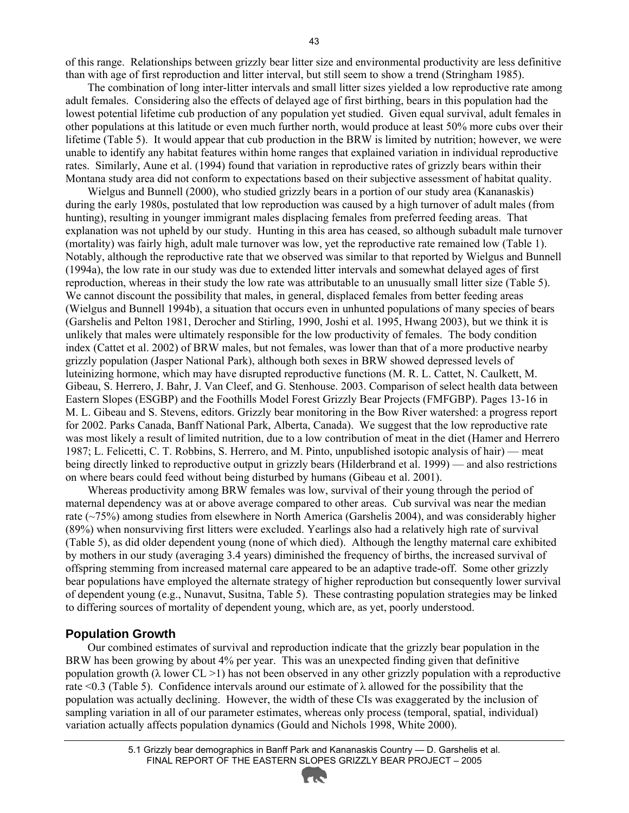of this range. Relationships between grizzly bear litter size and environmental productivity are less definitive than with age of first reproduction and litter interval, but still seem to show a trend (Stringham 1985).

The combination of long inter-litter intervals and small litter sizes yielded a low reproductive rate among adult females. Considering also the effects of delayed age of first birthing, bears in this population had the lowest potential lifetime cub production of any population yet studied. Given equal survival, adult females in other populations at this latitude or even much further north, would produce at least 50% more cubs over their lifetime (Table 5). It would appear that cub production in the BRW is limited by nutrition; however, we were unable to identify any habitat features within home ranges that explained variation in individual reproductive rates. Similarly, Aune et al. (1994) found that variation in reproductive rates of grizzly bears within their Montana study area did not conform to expectations based on their subjective assessment of habitat quality.

Wielgus and Bunnell (2000), who studied grizzly bears in a portion of our study area (Kananaskis) during the early 1980s, postulated that low reproduction was caused by a high turnover of adult males (from hunting), resulting in younger immigrant males displacing females from preferred feeding areas. That explanation was not upheld by our study. Hunting in this area has ceased, so although subadult male turnover (mortality) was fairly high, adult male turnover was low, yet the reproductive rate remained low (Table 1). Notably, although the reproductive rate that we observed was similar to that reported by Wielgus and Bunnell (1994a), the low rate in our study was due to extended litter intervals and somewhat delayed ages of first reproduction, whereas in their study the low rate was attributable to an unusually small litter size (Table 5). We cannot discount the possibility that males, in general, displaced females from better feeding areas (Wielgus and Bunnell 1994b), a situation that occurs even in unhunted populations of many species of bears (Garshelis and Pelton 1981, Derocher and Stirling, 1990, Joshi et al. 1995, Hwang 2003), but we think it is unlikely that males were ultimately responsible for the low productivity of females. The body condition index (Cattet et al. 2002) of BRW males, but not females, was lower than that of a more productive nearby grizzly population (Jasper National Park), although both sexes in BRW showed depressed levels of luteinizing hormone, which may have disrupted reproductive functions (M. R. L. Cattet, N. Caulkett, M. Gibeau, S. Herrero, J. Bahr, J. Van Cleef, and G. Stenhouse. 2003. Comparison of select health data between Eastern Slopes (ESGBP) and the Foothills Model Forest Grizzly Bear Projects (FMFGBP). Pages 13-16 in M. L. Gibeau and S. Stevens, editors. Grizzly bear monitoring in the Bow River watershed: a progress report for 2002. Parks Canada, Banff National Park, Alberta, Canada). We suggest that the low reproductive rate was most likely a result of limited nutrition, due to a low contribution of meat in the diet (Hamer and Herrero 1987; L. Felicetti, C. T. Robbins, S. Herrero, and M. Pinto, unpublished isotopic analysis of hair) — meat being directly linked to reproductive output in grizzly bears (Hilderbrand et al. 1999) — and also restrictions on where bears could feed without being disturbed by humans (Gibeau et al. 2001).

Whereas productivity among BRW females was low, survival of their young through the period of maternal dependency was at or above average compared to other areas. Cub survival was near the median rate (~75%) among studies from elsewhere in North America (Garshelis 2004), and was considerably higher (89%) when nonsurviving first litters were excluded. Yearlings also had a relatively high rate of survival (Table 5), as did older dependent young (none of which died). Although the lengthy maternal care exhibited by mothers in our study (averaging 3.4 years) diminished the frequency of births, the increased survival of offspring stemming from increased maternal care appeared to be an adaptive trade-off. Some other grizzly bear populations have employed the alternate strategy of higher reproduction but consequently lower survival of dependent young (e.g., Nunavut, Susitna, Table 5). These contrasting population strategies may be linked to differing sources of mortality of dependent young, which are, as yet, poorly understood.

#### **Population Growth**

Our combined estimates of survival and reproduction indicate that the grizzly bear population in the BRW has been growing by about 4% per year. This was an unexpected finding given that definitive population growth ( $\lambda$  lower CL  $>1$ ) has not been observed in any other grizzly population with a reproductive rate <0.3 (Table 5). Confidence intervals around our estimate of  $\lambda$  allowed for the possibility that the population was actually declining. However, the width of these CIs was exaggerated by the inclusion of sampling variation in all of our parameter estimates, whereas only process (temporal, spatial, individual) variation actually affects population dynamics (Gould and Nichols 1998, White 2000).

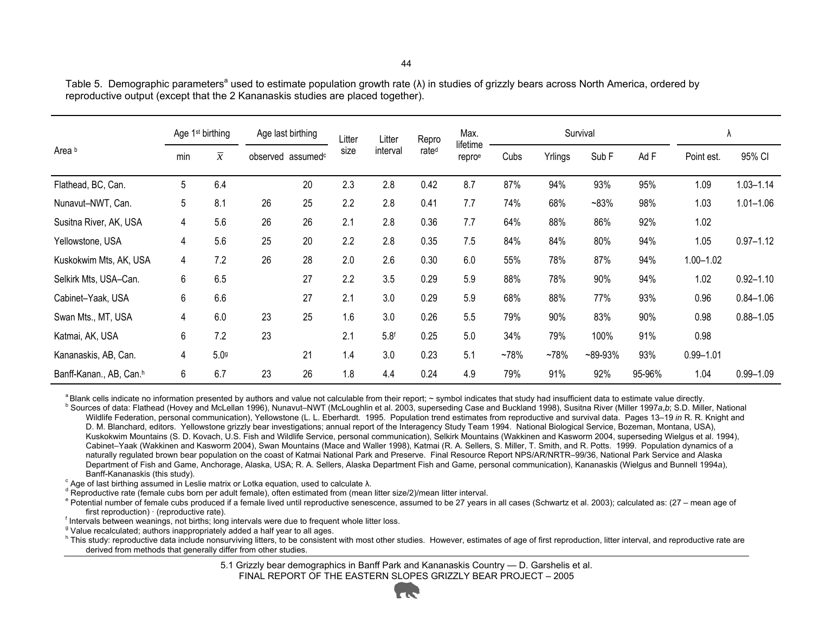|                         | Age 1 <sup>st</sup> birthing<br>$\overline{x}$<br>min |      | Age last birthing<br>observed assumed <sup>c</sup> |    | Litter<br>Litter | Repro<br>rate <sup>d</sup> | Max.               | Survival |         |        |           | ۸          |               |               |
|-------------------------|-------------------------------------------------------|------|----------------------------------------------------|----|------------------|----------------------------|--------------------|----------|---------|--------|-----------|------------|---------------|---------------|
| Area b                  |                                                       |      |                                                    |    | interval<br>size |                            | lifetime<br>reproe | Cubs     | Yrlings | Sub F  | Ad F      | Point est. | 95% CI        |               |
| Flathead, BC, Can.      | 5                                                     | 6.4  |                                                    | 20 | 2.3              | 2.8                        | 0.42               | 8.7      | 87%     | 94%    | 93%       | 95%        | 1.09          | $1.03 - 1.14$ |
| Nunavut-NWT, Can.       | 5                                                     | 8.1  | 26                                                 | 25 | 2.2              | 2.8                        | 0.41               | 7.7      | 74%     | 68%    | $~183\%$  | 98%        | 1.03          | $1.01 - 1.06$ |
| Susitna River, AK, USA  | 4                                                     | 5.6  | 26                                                 | 26 | 2.1              | 2.8                        | 0.36               | 7.7      | 64%     | 88%    | 86%       | 92%        | 1.02          |               |
| Yellowstone, USA        | 4                                                     | 5.6  | 25                                                 | 20 | 2.2              | 2.8                        | 0.35               | 7.5      | 84%     | 84%    | 80%       | 94%        | 1.05          | $0.97 - 1.12$ |
| Kuskokwim Mts, AK, USA  | 4                                                     | 7.2  | 26                                                 | 28 | 2.0              | 2.6                        | 0.30               | 6.0      | 55%     | 78%    | 87%       | 94%        | $1.00 - 1.02$ |               |
| Selkirk Mts, USA-Can.   | 6                                                     | 6.5  |                                                    | 27 | 2.2              | 3.5                        | 0.29               | 5.9      | 88%     | 78%    | 90%       | 94%        | 1.02          | $0.92 - 1.10$ |
| Cabinet-Yaak, USA       | 6                                                     | 6.6  |                                                    | 27 | 2.1              | 3.0                        | 0.29               | 5.9      | 68%     | 88%    | 77%       | 93%        | 0.96          | $0.84 - 1.06$ |
| Swan Mts., MT, USA      | 4                                                     | 6.0  | 23                                                 | 25 | 1.6              | 3.0                        | 0.26               | 5.5      | 79%     | 90%    | 83%       | 90%        | 0.98          | $0.88 - 1.05$ |
| Katmai, AK, USA         | 6                                                     | 7.2  | 23                                                 |    | 2.1              | 5.8 <sup>f</sup>           | 0.25               | 5.0      | 34%     | 79%    | 100%      | 91%        | 0.98          |               |
| Kananaskis, AB, Can.    | 4                                                     | 5.09 |                                                    | 21 | 1.4              | 3.0                        | 0.23               | 5.1      | $-78%$  | $-78%$ | $-89-93%$ | 93%        | $0.99 - 1.01$ |               |
| Banff-Kanan., AB, Can.h | 6                                                     | 6.7  | 23                                                 | 26 | 1.8              | 4.4                        | 0.24               | 4.9      | 79%     | 91%    | 92%       | 95-96%     | 1.04          | $0.99 - 1.09$ |

Table 5. Demographic parameters<sup>a</sup> used to estimate population growth rate ( $\lambda$ ) in studies of grizzly bears across North America, ordered by reproductive output (except that the 2 Kananaskis studies are placed together).

a Blank cells indicate no information presented by authors and value not calculable from their report; ~ symbol indicates that study had insufficient data to estimate value directly.<br><sup>b</sup> Sources of data: Flathead (Hovey an

Wildlife Federation, personal communication), Yellowstone (L. L. Eberhardt. 1995. Population trend estimates from reproductive and survival data. Pages 13–19 in R. R. Knight and D. M. Blanchard, editors. Yellowstone grizzly bear investigations; annual report of the Interagency Study Team 1994. National Biological Service, Bozeman, Montana, USA), Kuskokwim Mountains (S. D. Kovach, U.S. Fish and Wildlife Service, personal communication), Selkirk Mountains (Wakkinen and Kasworm 2004, superseding Wielgus et al. 1994), Cabinet–Yaak (Wakkinen and Kasworm 2004), Swan Mountains (Mace and Waller 1998), Katmai (R. A. Sellers, S. Miller, T. Smith, and R. Potts. 1999. Population dynamics of a naturally regulated brown bear population on the coast of Katmai National Park and Preserve. Final Resource Report NPS/AR/NRTR–99/36, National Park Service and Alaska Department of Fish and Game, Anchorage, Alaska, USA; R. A. Sellers, Alaska Department Fish and Game, personal communication), Kananaskis (Wielgus and Bunnell 1994*a*), Banff-Kananaskis (this study).<br>
<sup>c</sup> Age of last birthing assumed in Leslie matrix or Lotka equation, used to calculate λ.

<sup>d</sup> Reproductive rate (female cubs born per adult female), often estimated from (mean litter size/2)/mean litter interval.

e Potential number of female cubs produced if a female lived until reproductive senescence, assumed to be 27 years in all cases (Schwartz et al. 2003); calculated as: (27 – mean age of first reproduction) · (reproductive r

 $<sup>f</sup>$  Intervals between weanings, not births; long intervals were due to frequent whole litter loss.</sup>

<sup>9</sup> Value recalculated; authors inappropriately added a half year to all ages.<br><sup>h</sup> This study: reproductive data include nonsurviving litters, to be consistent with most other studies. However, estimates of age of first re derived from methods that generally differ from other studies.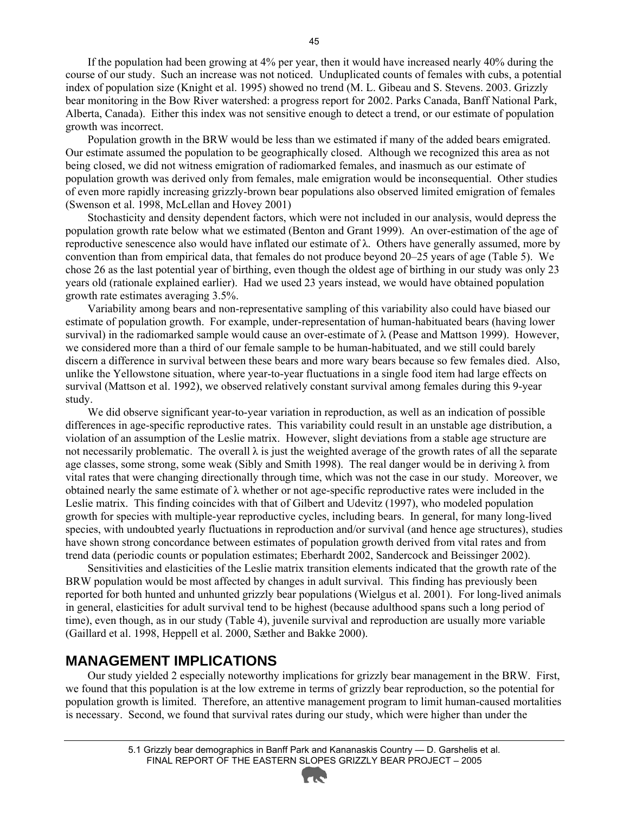If the population had been growing at 4% per year, then it would have increased nearly 40% during the course of our study. Such an increase was not noticed. Unduplicated counts of females with cubs, a potential index of population size (Knight et al. 1995) showed no trend (M. L. Gibeau and S. Stevens. 2003. Grizzly bear monitoring in the Bow River watershed: a progress report for 2002. Parks Canada, Banff National Park, Alberta, Canada). Either this index was not sensitive enough to detect a trend, or our estimate of population growth was incorrect.

Population growth in the BRW would be less than we estimated if many of the added bears emigrated. Our estimate assumed the population to be geographically closed. Although we recognized this area as not being closed, we did not witness emigration of radiomarked females, and inasmuch as our estimate of population growth was derived only from females, male emigration would be inconsequential. Other studies of even more rapidly increasing grizzly-brown bear populations also observed limited emigration of females (Swenson et al. 1998, McLellan and Hovey 2001)

Stochasticity and density dependent factors, which were not included in our analysis, would depress the population growth rate below what we estimated (Benton and Grant 1999). An over-estimation of the age of reproductive senescence also would have inflated our estimate of λ. Others have generally assumed, more by convention than from empirical data, that females do not produce beyond 20–25 years of age (Table 5). We chose 26 as the last potential year of birthing, even though the oldest age of birthing in our study was only 23 years old (rationale explained earlier). Had we used 23 years instead, we would have obtained population growth rate estimates averaging 3.5%.

Variability among bears and non-representative sampling of this variability also could have biased our estimate of population growth. For example, under-representation of human-habituated bears (having lower survival) in the radiomarked sample would cause an over-estimate of  $\lambda$  (Pease and Mattson 1999). However, we considered more than a third of our female sample to be human-habituated, and we still could barely discern a difference in survival between these bears and more wary bears because so few females died. Also, unlike the Yellowstone situation, where year-to-year fluctuations in a single food item had large effects on survival (Mattson et al. 1992), we observed relatively constant survival among females during this 9-year study.

We did observe significant year-to-year variation in reproduction, as well as an indication of possible differences in age-specific reproductive rates. This variability could result in an unstable age distribution, a violation of an assumption of the Leslie matrix. However, slight deviations from a stable age structure are not necessarily problematic. The overall λ is just the weighted average of the growth rates of all the separate age classes, some strong, some weak (Sibly and Smith 1998). The real danger would be in deriving  $\lambda$  from vital rates that were changing directionally through time, which was not the case in our study. Moreover, we obtained nearly the same estimate of  $\lambda$  whether or not age-specific reproductive rates were included in the Leslie matrix. This finding coincides with that of Gilbert and Udevitz (1997), who modeled population growth for species with multiple-year reproductive cycles, including bears. In general, for many long-lived species, with undoubted yearly fluctuations in reproduction and/or survival (and hence age structures), studies have shown strong concordance between estimates of population growth derived from vital rates and from trend data (periodic counts or population estimates; Eberhardt 2002, Sandercock and Beissinger 2002).

Sensitivities and elasticities of the Leslie matrix transition elements indicated that the growth rate of the BRW population would be most affected by changes in adult survival. This finding has previously been reported for both hunted and unhunted grizzly bear populations (Wielgus et al. 2001). For long-lived animals in general, elasticities for adult survival tend to be highest (because adulthood spans such a long period of time), even though, as in our study (Table 4), juvenile survival and reproduction are usually more variable (Gaillard et al. 1998, Heppell et al. 2000, Sæther and Bakke 2000).

#### **MANAGEMENT IMPLICATIONS**

Our study yielded 2 especially noteworthy implications for grizzly bear management in the BRW. First, we found that this population is at the low extreme in terms of grizzly bear reproduction, so the potential for population growth is limited. Therefore, an attentive management program to limit human-caused mortalities is necessary. Second, we found that survival rates during our study, which were higher than under the

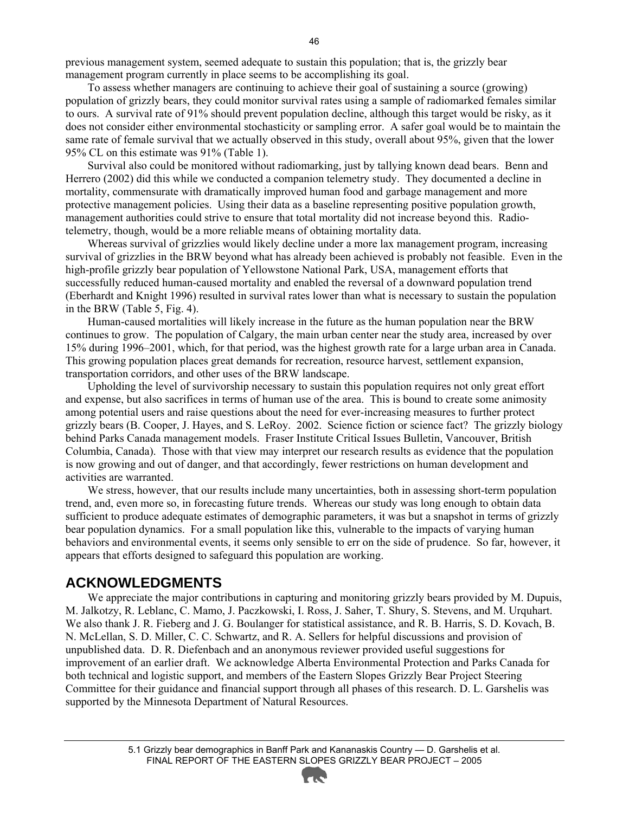previous management system, seemed adequate to sustain this population; that is, the grizzly bear management program currently in place seems to be accomplishing its goal.

To assess whether managers are continuing to achieve their goal of sustaining a source (growing) population of grizzly bears, they could monitor survival rates using a sample of radiomarked females similar to ours. A survival rate of 91% should prevent population decline, although this target would be risky, as it does not consider either environmental stochasticity or sampling error. A safer goal would be to maintain the same rate of female survival that we actually observed in this study, overall about 95%, given that the lower 95% CL on this estimate was 91% (Table 1).

Survival also could be monitored without radiomarking, just by tallying known dead bears. Benn and Herrero (2002) did this while we conducted a companion telemetry study. They documented a decline in mortality, commensurate with dramatically improved human food and garbage management and more protective management policies. Using their data as a baseline representing positive population growth, management authorities could strive to ensure that total mortality did not increase beyond this. Radiotelemetry, though, would be a more reliable means of obtaining mortality data.

Whereas survival of grizzlies would likely decline under a more lax management program, increasing survival of grizzlies in the BRW beyond what has already been achieved is probably not feasible. Even in the high-profile grizzly bear population of Yellowstone National Park, USA, management efforts that successfully reduced human-caused mortality and enabled the reversal of a downward population trend (Eberhardt and Knight 1996) resulted in survival rates lower than what is necessary to sustain the population in the BRW (Table 5, Fig. 4).

Human-caused mortalities will likely increase in the future as the human population near the BRW continues to grow. The population of Calgary, the main urban center near the study area, increased by over 15% during 1996–2001, which, for that period, was the highest growth rate for a large urban area in Canada. This growing population places great demands for recreation, resource harvest, settlement expansion, transportation corridors, and other uses of the BRW landscape.

Upholding the level of survivorship necessary to sustain this population requires not only great effort and expense, but also sacrifices in terms of human use of the area. This is bound to create some animosity among potential users and raise questions about the need for ever-increasing measures to further protect grizzly bears (B. Cooper, J. Hayes, and S. LeRoy. 2002. Science fiction or science fact? The grizzly biology behind Parks Canada management models. Fraser Institute Critical Issues Bulletin, Vancouver, British Columbia, Canada). Those with that view may interpret our research results as evidence that the population is now growing and out of danger, and that accordingly, fewer restrictions on human development and activities are warranted.

We stress, however, that our results include many uncertainties, both in assessing short-term population trend, and, even more so, in forecasting future trends. Whereas our study was long enough to obtain data sufficient to produce adequate estimates of demographic parameters, it was but a snapshot in terms of grizzly bear population dynamics. For a small population like this, vulnerable to the impacts of varying human behaviors and environmental events, it seems only sensible to err on the side of prudence. So far, however, it appears that efforts designed to safeguard this population are working.

#### **ACKNOWLEDGMENTS**

We appreciate the major contributions in capturing and monitoring grizzly bears provided by M. Dupuis, M. Jalkotzy, R. Leblanc, C. Mamo, J. Paczkowski, I. Ross, J. Saher, T. Shury, S. Stevens, and M. Urquhart. We also thank J. R. Fieberg and J. G. Boulanger for statistical assistance, and R. B. Harris, S. D. Kovach, B. N. McLellan, S. D. Miller, C. C. Schwartz, and R. A. Sellers for helpful discussions and provision of unpublished data. D. R. Diefenbach and an anonymous reviewer provided useful suggestions for improvement of an earlier draft. We acknowledge Alberta Environmental Protection and Parks Canada for both technical and logistic support, and members of the Eastern Slopes Grizzly Bear Project Steering Committee for their guidance and financial support through all phases of this research. D. L. Garshelis was supported by the Minnesota Department of Natural Resources.

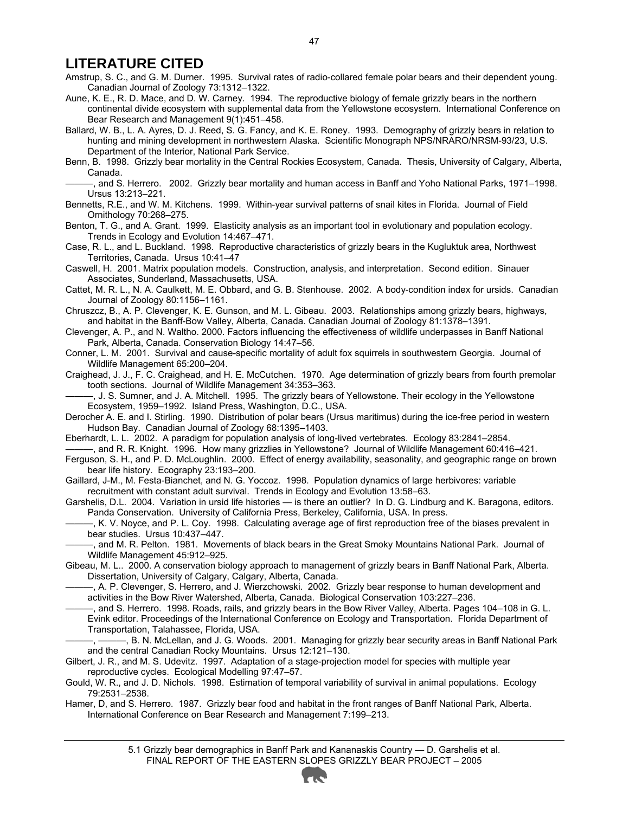#### **LITERATURE CITED**

Amstrup, S. C., and G. M. Durner. 1995. Survival rates of radio-collared female polar bears and their dependent young. Canadian Journal of Zoology 73:1312–1322.

Aune, K. E., R. D. Mace, and D. W. Carney. 1994. The reproductive biology of female grizzly bears in the northern continental divide ecosystem with supplemental data from the Yellowstone ecosystem. International Conference on Bear Research and Management 9(1):451–458.

Ballard, W. B., L. A. Ayres, D. J. Reed, S. G. Fancy, and K. E. Roney. 1993. Demography of grizzly bears in relation to hunting and mining development in northwestern Alaska. Scientific Monograph NPS/NRARO/NRSM-93/23, U.S. Department of the Interior, National Park Service.

Benn, B. 1998. Grizzly bear mortality in the Central Rockies Ecosystem, Canada. Thesis, University of Calgary, Alberta, Canada.

———, and S. Herrero. 2002. Grizzly bear mortality and human access in Banff and Yoho National Parks, 1971–1998. Ursus 13:213–221.

Bennetts, R.E., and W. M. Kitchens. 1999. Within-year survival patterns of snail kites in Florida. Journal of Field Ornithology 70:268–275.

Benton, T. G., and A. Grant. 1999. Elasticity analysis as an important tool in evolutionary and population ecology. Trends in Ecology and Evolution 14:467–471.

Case, R. L., and L. Buckland. 1998. Reproductive characteristics of grizzly bears in the Kugluktuk area, Northwest Territories, Canada. Ursus 10:41–47

Caswell, H. 2001. Matrix population models. Construction, analysis, and interpretation. Second edition. Sinauer Associates, Sunderland, Massachusetts, USA.

Cattet, M. R. L., N. A. Caulkett, M. E. Obbard, and G. B. Stenhouse. 2002. A body-condition index for ursids. Canadian Journal of Zoology 80:1156–1161.

Chruszcz, B., A. P. Clevenger, K. E. Gunson, and M. L. Gibeau. 2003. Relationships among grizzly bears, highways, and habitat in the Banff-Bow Valley, Alberta, Canada. Canadian Journal of Zoology 81:1378–1391.

Clevenger, A. P., and N. Waltho. 2000. Factors influencing the effectiveness of wildlife underpasses in Banff National Park, Alberta, Canada. Conservation Biology 14:47–56.

Conner, L. M. 2001. Survival and cause-specific mortality of adult fox squirrels in southwestern Georgia. Journal of Wildlife Management 65:200–204.

Craighead, J. J., F. C. Craighead, and H. E. McCutchen. 1970. Age determination of grizzly bears from fourth premolar tooth sections. Journal of Wildlife Management 34:353–363.

———, J. S. Sumner, and J. A. Mitchell. 1995. The grizzly bears of Yellowstone. Their ecology in the Yellowstone Ecosystem, 1959–1992. Island Press, Washington, D.C., USA.

Derocher A. E. and I. Stirling. 1990. Distribution of polar bears (Ursus maritimus) during the ice-free period in western Hudson Bay. Canadian Journal of Zoology 68:1395–1403.

Eberhardt, L. L. 2002. A paradigm for population analysis of long-lived vertebrates. Ecology 83:2841–2854. ———, and R. R. Knight. 1996. How many grizzlies in Yellowstone? Journal of Wildlife Management 60:416–421.

Ferguson, S. H., and P. D. McLoughlin. 2000. Effect of energy availability, seasonality, and geographic range on brown bear life history. Ecography 23:193–200.

Gaillard, J-M., M. Festa-Bianchet, and N. G. Yoccoz. 1998. Population dynamics of large herbivores: variable recruitment with constant adult survival. Trends in Ecology and Evolution 13:58–63.

Garshelis, D.L. 2004. Variation in ursid life histories — is there an outlier? In D. G. Lindburg and K. Baragona, editors. Panda Conservation. University of California Press, Berkeley, California, USA. In press.

———, K. V. Noyce, and P. L. Coy. 1998. Calculating average age of first reproduction free of the biases prevalent in bear studies. Ursus 10:437–447.

———, and M. R. Pelton. 1981. Movements of black bears in the Great Smoky Mountains National Park. Journal of Wildlife Management 45:912–925.

Gibeau, M. L.. 2000. A conservation biology approach to management of grizzly bears in Banff National Park, Alberta. Dissertation, University of Calgary, Calgary, Alberta, Canada.

———, A. P. Clevenger, S. Herrero, and J. Wierzchowski. 2002. Grizzly bear response to human development and activities in the Bow River Watershed, Alberta, Canada. Biological Conservation 103:227–236.

———, and S. Herrero. 1998. Roads, rails, and grizzly bears in the Bow River Valley, Alberta. Pages 104–108 in G. L. Evink editor. Proceedings of the International Conference on Ecology and Transportation. Florida Department of Transportation, Talahassee, Florida, USA.

———, ———, B. N. McLellan, and J. G. Woods. 2001. Managing for grizzly bear security areas in Banff National Park and the central Canadian Rocky Mountains. Ursus 12:121–130.

Gilbert, J. R., and M. S. Udevitz. 1997. Adaptation of a stage-projection model for species with multiple year reproductive cycles. Ecological Modelling 97:47–57.

Gould, W. R., and J. D. Nichols. 1998. Estimation of temporal variability of survival in animal populations. Ecology 79:2531–2538.

Hamer, D, and S. Herrero. 1987. Grizzly bear food and habitat in the front ranges of Banff National Park, Alberta. International Conference on Bear Research and Management 7:199–213.

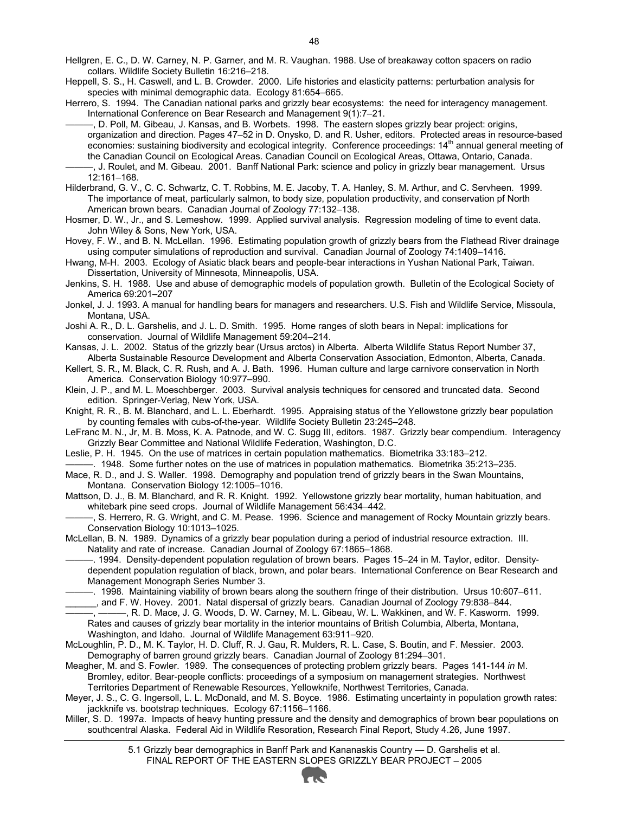Hellgren, E. C., D. W. Carney, N. P. Garner, and M. R. Vaughan. 1988. Use of breakaway cotton spacers on radio collars. Wildlife Society Bulletin 16:216–218.

Heppell, S. S., H. Caswell, and L. B. Crowder. 2000. Life histories and elasticity patterns: perturbation analysis for species with minimal demographic data. Ecology 81:654–665.

Herrero, S. 1994. The Canadian national parks and grizzly bear ecosystems: the need for interagency management. International Conference on Bear Research and Management 9(1):7–21.

———, D. Poll, M. Gibeau, J. Kansas, and B. Worbets. 1998. The eastern slopes grizzly bear project: origins, organization and direction. Pages 47–52 in D. Onysko, D. and R. Usher, editors. Protected areas in resource-based economies: sustaining biodiversity and ecological integrity. Conference proceedings: 14<sup>th</sup> annual general meeting of the Canadian Council on Ecological Areas. Canadian Council on Ecological Areas, Ottawa, Ontario, Canada. ———, J. Roulet, and M. Gibeau. 2001. Banff National Park: science and policy in grizzly bear management. Ursus

12:161–168. Hilderbrand, G. V., C. C. Schwartz, C. T. Robbins, M. E. Jacoby, T. A. Hanley, S. M. Arthur, and C. Servheen. 1999.

The importance of meat, particularly salmon, to body size, population productivity, and conservation pf North American brown bears. Canadian Journal of Zoology 77:132–138.

Hosmer, D. W., Jr., and S. Lemeshow. 1999. Applied survival analysis. Regression modeling of time to event data. John Wiley & Sons, New York, USA.

Hovey, F. W., and B. N. McLellan. 1996. Estimating population growth of grizzly bears from the Flathead River drainage using computer simulations of reproduction and survival. Canadian Journal of Zoology 74:1409–1416.

Hwang, M-H. 2003. Ecology of Asiatic black bears and people-bear interactions in Yushan National Park, Taiwan. Dissertation, University of Minnesota, Minneapolis, USA.

Jenkins, S. H. 1988. Use and abuse of demographic models of population growth. Bulletin of the Ecological Society of America 69:201–207

Jonkel, J. J. 1993. A manual for handling bears for managers and researchers. U.S. Fish and Wildlife Service, Missoula, Montana, USA.

Joshi A. R., D. L. Garshelis, and J. L. D. Smith. 1995. Home ranges of sloth bears in Nepal: implications for conservation. Journal of Wildlife Management 59:204–214.

Kansas, J. L. 2002. Status of the grizzly bear (Ursus arctos) in Alberta. Alberta Wildlife Status Report Number 37, Alberta Sustainable Resource Development and Alberta Conservation Association, Edmonton, Alberta, Canada.

Kellert, S. R., M. Black, C. R. Rush, and A. J. Bath. 1996. Human culture and large carnivore conservation in North America. Conservation Biology 10:977–990.

Klein, J. P., and M. L. Moeschberger. 2003. Survival analysis techniques for censored and truncated data. Second edition. Springer-Verlag, New York, USA.

Knight, R. R., B. M. Blanchard, and L. L. Eberhardt. 1995. Appraising status of the Yellowstone grizzly bear population by counting females with cubs-of-the-year. Wildlife Society Bulletin 23:245–248.

LeFranc M. N., Jr, M. B. Moss, K. A. Patnode, and W. C. Sugg III, editors. 1987. Grizzly bear compendium. Interagency Grizzly Bear Committee and National Wildlife Federation, Washington, D.C.

Leslie, P. H. 1945. On the use of matrices in certain population mathematics. Biometrika 33:183–212.

. 1948. Some further notes on the use of matrices in population mathematics. Biometrika 35:213–235.

Mace, R. D., and J. S. Waller. 1998. Demography and population trend of grizzly bears in the Swan Mountains, Montana. Conservation Biology 12:1005–1016.

Mattson, D. J., B. M. Blanchard, and R. R. Knight. 1992. Yellowstone grizzly bear mortality, human habituation, and whitebark pine seed crops. Journal of Wildlife Management 56:434–442.

———, S. Herrero, R. G. Wright, and C. M. Pease. 1996. Science and management of Rocky Mountain grizzly bears. Conservation Biology 10:1013–1025.

McLellan, B. N. 1989. Dynamics of a grizzly bear population during a period of industrial resource extraction. III. Natality and rate of increase. Canadian Journal of Zoology 67:1865–1868.

———. 1994. Density-dependent population regulation of brown bears. Pages 15–24 in M. Taylor, editor. Densitydependent population regulation of black, brown, and polar bears. International Conference on Bear Research and Management Monograph Series Number 3.

———. 1998. Maintaining viability of brown bears along the southern fringe of their distribution. Ursus 10:607–611.

\_\_\_\_\_\_, and F. W. Hovey. 2001. Natal dispersal of grizzly bears. Canadian Journal of Zoology 79:838–844. ———, ———, R. D. Mace, J. G. Woods, D. W. Carney, M. L. Gibeau, W. L. Wakkinen, and W. F. Kasworm. 1999. Rates and causes of grizzly bear mortality in the interior mountains of British Columbia, Alberta, Montana, Washington, and Idaho. Journal of Wildlife Management 63:911–920.

McLoughlin, P. D., M. K. Taylor, H. D. Cluff, R. J. Gau, R. Mulders, R. L. Case, S. Boutin, and F. Messier. 2003. Demography of barren ground grizzly bears. Canadian Journal of Zoology 81:294–301.

Meagher, M. and S. Fowler. 1989. The consequences of protecting problem grizzly bears. Pages 141-144 *in* M. Bromley, editor. Bear-people conflicts: proceedings of a symposium on management strategies. Northwest Territories Department of Renewable Resources, Yellowknife, Northwest Territories, Canada.

Meyer, J. S., C. G. Ingersoll, L. L. McDonald, and M. S. Boyce. 1986. Estimating uncertainty in population growth rates: jackknife vs. bootstrap techniques. Ecology 67:1156–1166.

Miller, S. D. 1997*a*. Impacts of heavy hunting pressure and the density and demographics of brown bear populations on southcentral Alaska. Federal Aid in Wildlife Resoration, Research Final Report, Study 4.26, June 1997.

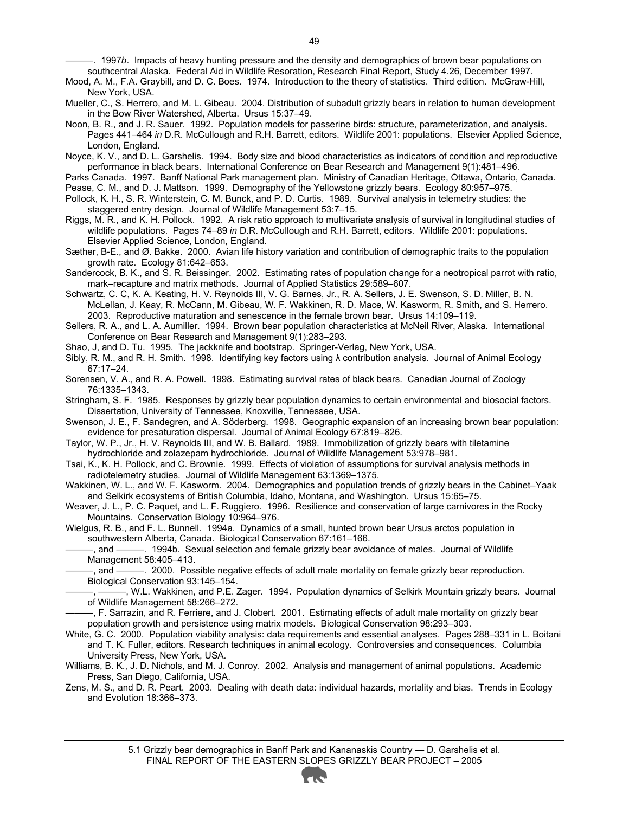———. 1997*b*. Impacts of heavy hunting pressure and the density and demographics of brown bear populations on southcentral Alaska. Federal Aid in Wildlife Resoration, Research Final Report, Study 4.26, December 1997.

Mood, A. M., F.A. Graybill, and D. C. Boes. 1974. Introduction to the theory of statistics. Third edition. McGraw-Hill, New York, USA.

- Mueller, C., S. Herrero, and M. L. Gibeau. 2004. Distribution of subadult grizzly bears in relation to human development in the Bow River Watershed, Alberta. Ursus 15:37–49.
- Noon, B. R., and J. R. Sauer. 1992. Population models for passerine birds: structure, parameterization, and analysis. Pages 441–464 *in* D.R. McCullough and R.H. Barrett, editors. Wildlife 2001: populations. Elsevier Applied Science, London, England.

Noyce, K. V., and D. L. Garshelis. 1994. Body size and blood characteristics as indicators of condition and reproductive performance in black bears. International Conference on Bear Research and Management 9(1):481–496.

Parks Canada. 1997. Banff National Park management plan. Ministry of Canadian Heritage, Ottawa, Ontario, Canada. Pease, C. M., and D. J. Mattson. 1999. Demography of the Yellowstone grizzly bears. Ecology 80:957–975.

Pollock, K. H., S. R. Winterstein, C. M. Bunck, and P. D. Curtis. 1989. Survival analysis in telemetry studies: the staggered entry design. Journal of Wildlife Management 53:7–15.

- Riggs, M. R., and K. H. Pollock. 1992. A risk ratio approach to multivariate analysis of survival in longitudinal studies of wildlife populations. Pages 74–89 *in* D.R. McCullough and R.H. Barrett, editors. Wildlife 2001: populations. Elsevier Applied Science, London, England.
- Sæther, B-E., and Ø. Bakke. 2000. Avian life history variation and contribution of demographic traits to the population growth rate. Ecology 81:642–653.

Sandercock, B. K., and S. R. Beissinger. 2002. Estimating rates of population change for a neotropical parrot with ratio, mark–recapture and matrix methods. Journal of Applied Statistics 29:589–607.

Schwartz, C. C, K. A. Keating, H. V. Reynolds III, V. G. Barnes, Jr., R. A. Sellers, J. E. Swenson, S. D. Miller, B. N. McLellan, J. Keay, R. McCann, M. Gibeau, W. F. Wakkinen, R. D. Mace, W. Kasworm, R. Smith, and S. Herrero. 2003. Reproductive maturation and senescence in the female brown bear. Ursus 14:109–119.

Sellers, R. A., and L. A. Aumiller. 1994. Brown bear population characteristics at McNeil River, Alaska. International Conference on Bear Research and Management 9(1):283–293.

Shao, J, and D. Tu. 1995. The jackknife and bootstrap. Springer-Verlag, New York, USA.

Sibly, R. M., and R. H. Smith. 1998. Identifying key factors using λ contribution analysis. Journal of Animal Ecology 67:17–24.

Sorensen, V. A., and R. A. Powell. 1998. Estimating survival rates of black bears. Canadian Journal of Zoology 76:1335–1343.

Stringham, S. F. 1985. Responses by grizzly bear population dynamics to certain environmental and biosocial factors. Dissertation, University of Tennessee, Knoxville, Tennessee, USA.

Swenson, J. E., F. Sandegren, and A. Söderberg. 1998. Geographic expansion of an increasing brown bear population: evidence for presaturation dispersal. Journal of Animal Ecology 67:819–826.

Taylor, W. P., Jr., H. V. Reynolds III, and W. B. Ballard. 1989. Immobilization of grizzly bears with tiletamine hydrochloride and zolazepam hydrochloride. Journal of Wildlife Management 53:978–981.

Tsai, K., K. H. Pollock, and C. Brownie. 1999. Effects of violation of assumptions for survival analysis methods in radiotelemetry studies. Journal of Wildlife Management 63:1369–1375.

Wakkinen, W. L., and W. F. Kasworm. 2004. Demographics and population trends of grizzly bears in the Cabinet–Yaak and Selkirk ecosystems of British Columbia, Idaho, Montana, and Washington. Ursus 15:65–75.

Weaver, J. L., P. C. Paquet, and L. F. Ruggiero. 1996. Resilience and conservation of large carnivores in the Rocky Mountains. Conservation Biology 10:964–976.

Wielgus, R. B., and F. L. Bunnell. 1994a. Dynamics of a small, hunted brown bear Ursus arctos population in southwestern Alberta, Canada. Biological Conservation 67:161–166.

———, and ———. 1994b. Sexual selection and female grizzly bear avoidance of males. Journal of Wildlife Management 58:405–413.

———, and ———. 2000. Possible negative effects of adult male mortality on female grizzly bear reproduction. Biological Conservation 93:145–154.

 $-$ , W.L. Wakkinen, and P.E. Zager. 1994. Population dynamics of Selkirk Mountain grizzly bears. Journal of Wildlife Management 58:266–272.

———, F. Sarrazin, and R. Ferriere, and J. Clobert. 2001. Estimating effects of adult male mortality on grizzly bear population growth and persistence using matrix models. Biological Conservation 98:293–303.

White, G. C. 2000. Population viability analysis: data requirements and essential analyses. Pages 288–331 in L. Boitani and T. K. Fuller, editors. Research techniques in animal ecology. Controversies and consequences. Columbia University Press, New York, USA.

Williams, B. K., J. D. Nichols, and M. J. Conroy. 2002. Analysis and management of animal populations. Academic Press, San Diego, California, USA.

Zens, M. S., and D. R. Peart. 2003. Dealing with death data: individual hazards, mortality and bias. Trends in Ecology and Evolution 18:366–373.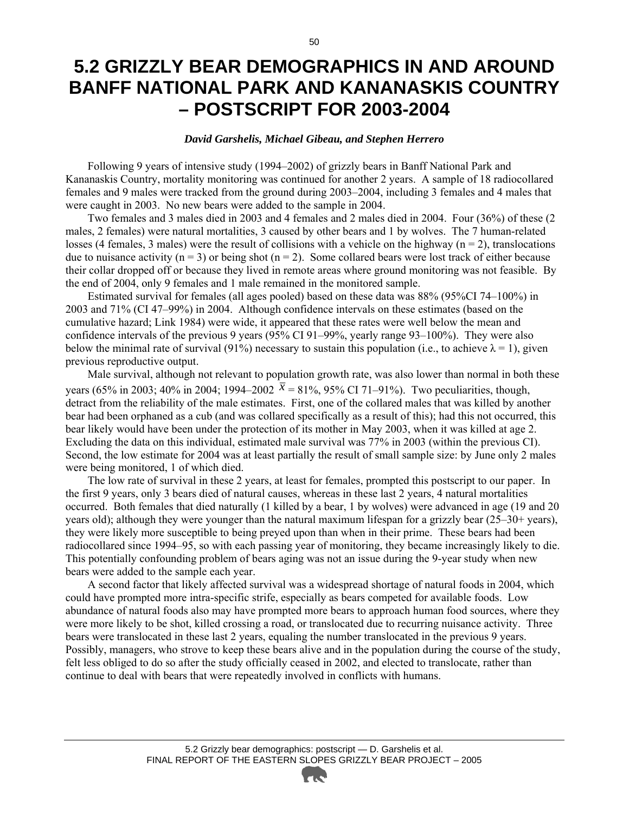### **5.2 GRIZZLY BEAR DEMOGRAPHICS IN AND AROUND BANFF NATIONAL PARK AND KANANASKIS COUNTRY – POSTSCRIPT FOR 2003-2004**

#### *David Garshelis, Michael Gibeau, and Stephen Herrero*

Following 9 years of intensive study (1994–2002) of grizzly bears in Banff National Park and Kananaskis Country, mortality monitoring was continued for another 2 years. A sample of 18 radiocollared females and 9 males were tracked from the ground during 2003–2004, including 3 females and 4 males that were caught in 2003. No new bears were added to the sample in 2004.

Two females and 3 males died in 2003 and 4 females and 2 males died in 2004. Four (36%) of these (2 males, 2 females) were natural mortalities, 3 caused by other bears and 1 by wolves. The 7 human-related losses (4 females, 3 males) were the result of collisions with a vehicle on the highway ( $n = 2$ ), translocations due to nuisance activity ( $n = 3$ ) or being shot ( $n = 2$ ). Some collared bears were lost track of either because their collar dropped off or because they lived in remote areas where ground monitoring was not feasible. By the end of 2004, only 9 females and 1 male remained in the monitored sample.

Estimated survival for females (all ages pooled) based on these data was 88% (95%CI 74–100%) in 2003 and 71% (CI 47–99%) in 2004. Although confidence intervals on these estimates (based on the cumulative hazard; Link 1984) were wide, it appeared that these rates were well below the mean and confidence intervals of the previous 9 years (95% CI 91–99%, yearly range 93–100%). They were also below the minimal rate of survival (91%) necessary to sustain this population (i.e., to achieve  $\lambda = 1$ ), given previous reproductive output.

Male survival, although not relevant to population growth rate, was also lower than normal in both these years (65% in 2003; 40% in 2004; 1994–2002  $\bar{x} = 81\%$ , 95% CI 71–91%). Two peculiarities, though, detract from the reliability of the male estimates. First, one of the collared males that was killed by another bear had been orphaned as a cub (and was collared specifically as a result of this); had this not occurred, this bear likely would have been under the protection of its mother in May 2003, when it was killed at age 2. Excluding the data on this individual, estimated male survival was 77% in 2003 (within the previous CI). Second, the low estimate for 2004 was at least partially the result of small sample size: by June only 2 males were being monitored, 1 of which died.

The low rate of survival in these 2 years, at least for females, prompted this postscript to our paper. In the first 9 years, only 3 bears died of natural causes, whereas in these last 2 years, 4 natural mortalities occurred. Both females that died naturally (1 killed by a bear, 1 by wolves) were advanced in age (19 and 20 years old); although they were younger than the natural maximum lifespan for a grizzly bear (25–30+ years), they were likely more susceptible to being preyed upon than when in their prime. These bears had been radiocollared since 1994–95, so with each passing year of monitoring, they became increasingly likely to die. This potentially confounding problem of bears aging was not an issue during the 9-year study when new bears were added to the sample each year.

A second factor that likely affected survival was a widespread shortage of natural foods in 2004, which could have prompted more intra-specific strife, especially as bears competed for available foods. Low abundance of natural foods also may have prompted more bears to approach human food sources, where they were more likely to be shot, killed crossing a road, or translocated due to recurring nuisance activity. Three bears were translocated in these last 2 years, equaling the number translocated in the previous 9 years. Possibly, managers, who strove to keep these bears alive and in the population during the course of the study, felt less obliged to do so after the study officially ceased in 2002, and elected to translocate, rather than continue to deal with bears that were repeatedly involved in conflicts with humans.

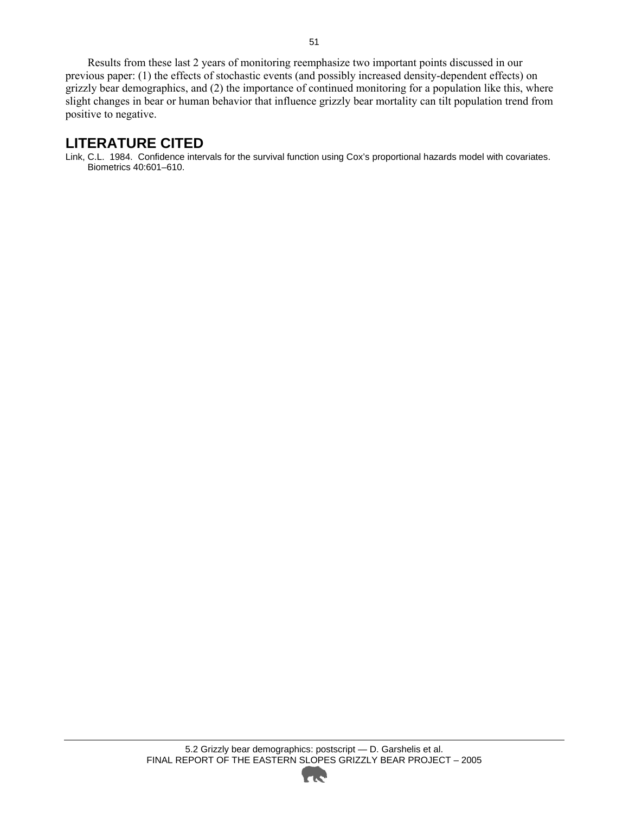Results from these last 2 years of monitoring reemphasize two important points discussed in our previous paper: (1) the effects of stochastic events (and possibly increased density-dependent effects) on grizzly bear demographics, and (2) the importance of continued monitoring for a population like this, where slight changes in bear or human behavior that influence grizzly bear mortality can tilt population trend from positive to negative.

#### **LITERATURE CITED**

Link, C.L. 1984. Confidence intervals for the survival function using Cox's proportional hazards model with covariates. Biometrics 40:601–610.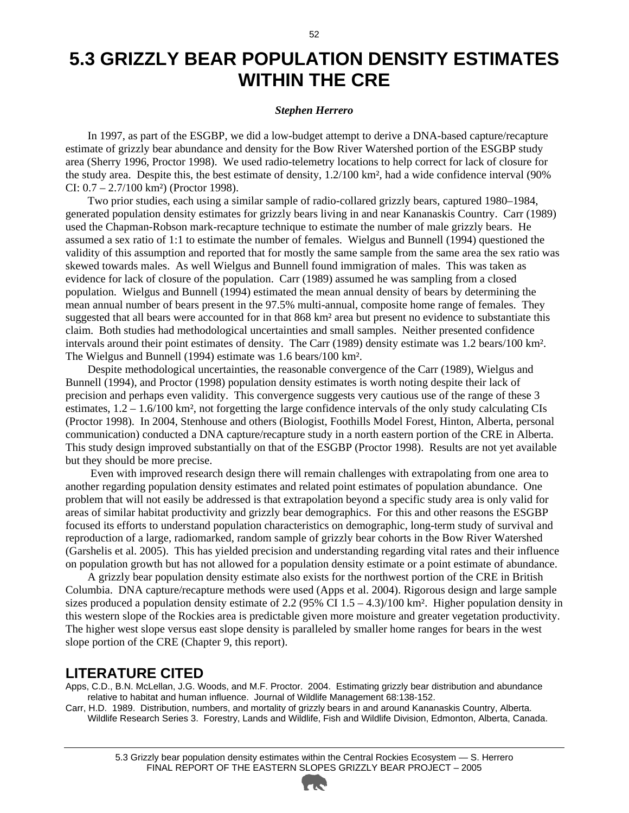### **5.3 GRIZZLY BEAR POPULATION DENSITY ESTIMATES WITHIN THE CRE**

#### *Stephen Herrero*

In 1997, as part of the ESGBP, we did a low-budget attempt to derive a DNA-based capture/recapture estimate of grizzly bear abundance and density for the Bow River Watershed portion of the ESGBP study area (Sherry 1996, Proctor 1998). We used radio-telemetry locations to help correct for lack of closure for the study area. Despite this, the best estimate of density, 1.2/100 km², had a wide confidence interval (90% CI:  $0.7 - 2.7/100$  km<sup>2</sup>) (Proctor 1998).

Two prior studies, each using a similar sample of radio-collared grizzly bears, captured 1980–1984, generated population density estimates for grizzly bears living in and near Kananaskis Country. Carr (1989) used the Chapman-Robson mark-recapture technique to estimate the number of male grizzly bears. He assumed a sex ratio of 1:1 to estimate the number of females. Wielgus and Bunnell (1994) questioned the validity of this assumption and reported that for mostly the same sample from the same area the sex ratio was skewed towards males. As well Wielgus and Bunnell found immigration of males. This was taken as evidence for lack of closure of the population. Carr (1989) assumed he was sampling from a closed population. Wielgus and Bunnell (1994) estimated the mean annual density of bears by determining the mean annual number of bears present in the 97.5% multi-annual, composite home range of females. They suggested that all bears were accounted for in that 868 km² area but present no evidence to substantiate this claim. Both studies had methodological uncertainties and small samples. Neither presented confidence intervals around their point estimates of density. The Carr (1989) density estimate was 1.2 bears/100 km². The Wielgus and Bunnell (1994) estimate was 1.6 bears/100 km².

Despite methodological uncertainties, the reasonable convergence of the Carr (1989), Wielgus and Bunnell (1994), and Proctor (1998) population density estimates is worth noting despite their lack of precision and perhaps even validity. This convergence suggests very cautious use of the range of these 3 estimates, 1.2 – 1.6/100 km², not forgetting the large confidence intervals of the only study calculating CIs (Proctor 1998). In 2004, Stenhouse and others (Biologist, Foothills Model Forest, Hinton, Alberta, personal communication) conducted a DNA capture/recapture study in a north eastern portion of the CRE in Alberta. This study design improved substantially on that of the ESGBP (Proctor 1998). Results are not yet available but they should be more precise.

 Even with improved research design there will remain challenges with extrapolating from one area to another regarding population density estimates and related point estimates of population abundance. One problem that will not easily be addressed is that extrapolation beyond a specific study area is only valid for areas of similar habitat productivity and grizzly bear demographics. For this and other reasons the ESGBP focused its efforts to understand population characteristics on demographic, long-term study of survival and reproduction of a large, radiomarked, random sample of grizzly bear cohorts in the Bow River Watershed (Garshelis et al. 2005). This has yielded precision and understanding regarding vital rates and their influence on population growth but has not allowed for a population density estimate or a point estimate of abundance.

A grizzly bear population density estimate also exists for the northwest portion of the CRE in British Columbia. DNA capture/recapture methods were used (Apps et al. 2004). Rigorous design and large sample sizes produced a population density estimate of 2.2 (95% CI  $1.5 - 4.3$ )/100 km². Higher population density in this western slope of the Rockies area is predictable given more moisture and greater vegetation productivity. The higher west slope versus east slope density is paralleled by smaller home ranges for bears in the west slope portion of the CRE (Chapter 9, this report).

#### **LITERATURE CITED**

Apps, C.D., B.N. McLellan, J.G. Woods, and M.F. Proctor. 2004. Estimating grizzly bear distribution and abundance relative to habitat and human influence. Journal of Wildlife Management 68:138-152.

Carr, H.D. 1989. Distribution, numbers, and mortality of grizzly bears in and around Kananaskis Country, Alberta. Wildlife Research Series 3. Forestry, Lands and Wildlife, Fish and Wildlife Division, Edmonton, Alberta, Canada.

<sup>5.3</sup> Grizzly bear population density estimates within the Central Rockies Ecosystem — S. Herrero FINAL REPORT OF THE EASTERN SLOPES GRIZZLY BEAR PROJECT – 2005

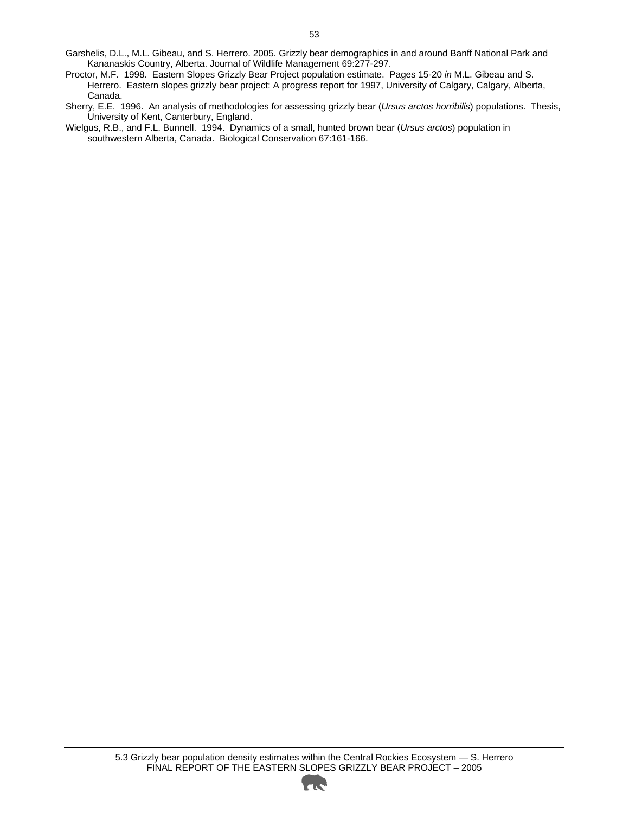- Garshelis, D.L., M.L. Gibeau, and S. Herrero. 2005. Grizzly bear demographics in and around Banff National Park and Kananaskis Country, Alberta. Journal of Wildlife Management 69:277-297.
- Proctor, M.F. 1998. Eastern Slopes Grizzly Bear Project population estimate. Pages 15-20 *in* M.L. Gibeau and S. Herrero. Eastern slopes grizzly bear project: A progress report for 1997, University of Calgary, Calgary, Alberta, Canada.
- Sherry, E.E. 1996. An analysis of methodologies for assessing grizzly bear (*Ursus arctos horribilis*) populations. Thesis, University of Kent, Canterbury, England.
- Wielgus, R.B., and F.L. Bunnell. 1994. Dynamics of a small, hunted brown bear (*Ursus arctos*) population in southwestern Alberta, Canada. Biological Conservation 67:161-166.

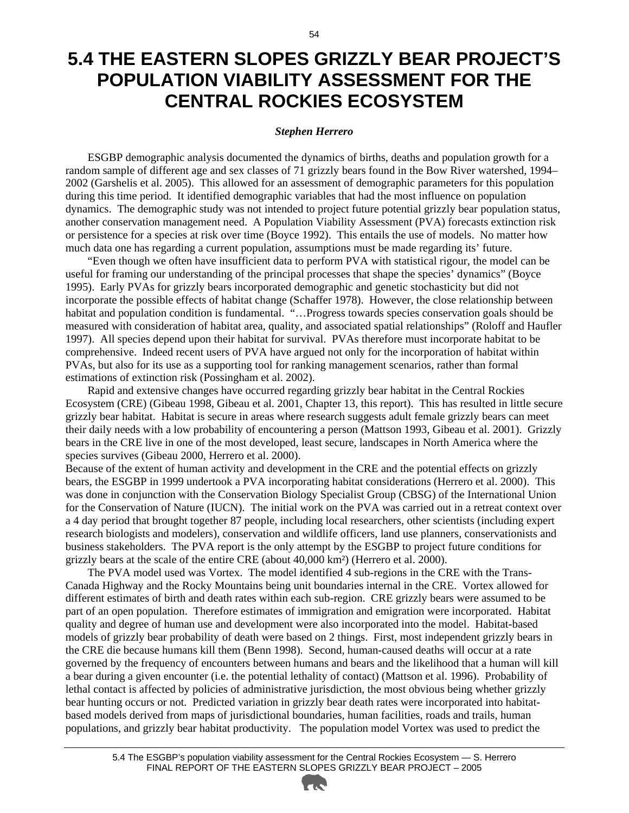### **5.4 THE EASTERN SLOPES GRIZZLY BEAR PROJECT'S POPULATION VIABILITY ASSESSMENT FOR THE CENTRAL ROCKIES ECOSYSTEM**

#### *Stephen Herrero*

ESGBP demographic analysis documented the dynamics of births, deaths and population growth for a random sample of different age and sex classes of 71 grizzly bears found in the Bow River watershed, 1994– 2002 (Garshelis et al. 2005). This allowed for an assessment of demographic parameters for this population during this time period. It identified demographic variables that had the most influence on population dynamics. The demographic study was not intended to project future potential grizzly bear population status, another conservation management need. A Population Viability Assessment (PVA) forecasts extinction risk or persistence for a species at risk over time (Boyce 1992). This entails the use of models. No matter how much data one has regarding a current population, assumptions must be made regarding its' future.

"Even though we often have insufficient data to perform PVA with statistical rigour, the model can be useful for framing our understanding of the principal processes that shape the species' dynamics" (Boyce 1995). Early PVAs for grizzly bears incorporated demographic and genetic stochasticity but did not incorporate the possible effects of habitat change (Schaffer 1978). However, the close relationship between habitat and population condition is fundamental. "...Progress towards species conservation goals should be measured with consideration of habitat area, quality, and associated spatial relationships" (Roloff and Haufler 1997). All species depend upon their habitat for survival. PVAs therefore must incorporate habitat to be comprehensive. Indeed recent users of PVA have argued not only for the incorporation of habitat within PVAs, but also for its use as a supporting tool for ranking management scenarios, rather than formal estimations of extinction risk (Possingham et al. 2002).

Rapid and extensive changes have occurred regarding grizzly bear habitat in the Central Rockies Ecosystem (CRE) (Gibeau 1998, Gibeau et al. 2001, Chapter 13, this report). This has resulted in little secure grizzly bear habitat. Habitat is secure in areas where research suggests adult female grizzly bears can meet their daily needs with a low probability of encountering a person (Mattson 1993, Gibeau et al. 2001). Grizzly bears in the CRE live in one of the most developed, least secure, landscapes in North America where the species survives (Gibeau 2000, Herrero et al. 2000).

Because of the extent of human activity and development in the CRE and the potential effects on grizzly bears, the ESGBP in 1999 undertook a PVA incorporating habitat considerations (Herrero et al. 2000). This was done in conjunction with the Conservation Biology Specialist Group (CBSG) of the International Union for the Conservation of Nature (IUCN). The initial work on the PVA was carried out in a retreat context over a 4 day period that brought together 87 people, including local researchers, other scientists (including expert research biologists and modelers), conservation and wildlife officers, land use planners, conservationists and business stakeholders. The PVA report is the only attempt by the ESGBP to project future conditions for grizzly bears at the scale of the entire CRE (about 40,000 km²) (Herrero et al. 2000).

The PVA model used was Vortex. The model identified 4 sub-regions in the CRE with the Trans-Canada Highway and the Rocky Mountains being unit boundaries internal in the CRE. Vortex allowed for different estimates of birth and death rates within each sub-region. CRE grizzly bears were assumed to be part of an open population. Therefore estimates of immigration and emigration were incorporated. Habitat quality and degree of human use and development were also incorporated into the model. Habitat-based models of grizzly bear probability of death were based on 2 things. First, most independent grizzly bears in the CRE die because humans kill them (Benn 1998). Second, human-caused deaths will occur at a rate governed by the frequency of encounters between humans and bears and the likelihood that a human will kill a bear during a given encounter (i.e. the potential lethality of contact) (Mattson et al. 1996). Probability of lethal contact is affected by policies of administrative jurisdiction, the most obvious being whether grizzly bear hunting occurs or not. Predicted variation in grizzly bear death rates were incorporated into habitatbased models derived from maps of jurisdictional boundaries, human facilities, roads and trails, human populations, and grizzly bear habitat productivity. The population model Vortex was used to predict the

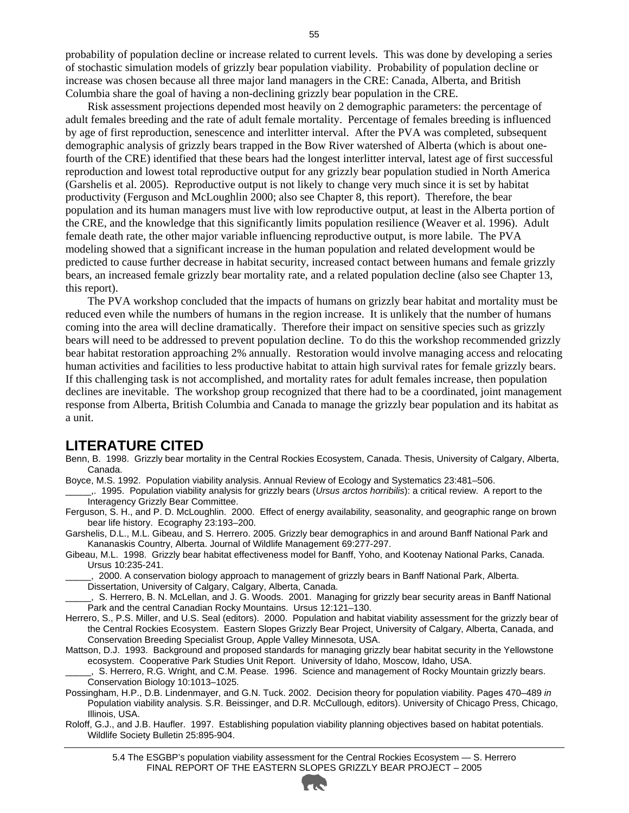probability of population decline or increase related to current levels. This was done by developing a series of stochastic simulation models of grizzly bear population viability. Probability of population decline or increase was chosen because all three major land managers in the CRE: Canada, Alberta, and British Columbia share the goal of having a non-declining grizzly bear population in the CRE.

Risk assessment projections depended most heavily on 2 demographic parameters: the percentage of adult females breeding and the rate of adult female mortality. Percentage of females breeding is influenced by age of first reproduction, senescence and interlitter interval. After the PVA was completed, subsequent demographic analysis of grizzly bears trapped in the Bow River watershed of Alberta (which is about onefourth of the CRE) identified that these bears had the longest interlitter interval, latest age of first successful reproduction and lowest total reproductive output for any grizzly bear population studied in North America (Garshelis et al. 2005). Reproductive output is not likely to change very much since it is set by habitat productivity (Ferguson and McLoughlin 2000; also see Chapter 8, this report). Therefore, the bear population and its human managers must live with low reproductive output, at least in the Alberta portion of the CRE, and the knowledge that this significantly limits population resilience (Weaver et al. 1996). Adult female death rate, the other major variable influencing reproductive output, is more labile. The PVA modeling showed that a significant increase in the human population and related development would be predicted to cause further decrease in habitat security, increased contact between humans and female grizzly bears, an increased female grizzly bear mortality rate, and a related population decline (also see Chapter 13, this report).

The PVA workshop concluded that the impacts of humans on grizzly bear habitat and mortality must be reduced even while the numbers of humans in the region increase. It is unlikely that the number of humans coming into the area will decline dramatically. Therefore their impact on sensitive species such as grizzly bears will need to be addressed to prevent population decline. To do this the workshop recommended grizzly bear habitat restoration approaching 2% annually. Restoration would involve managing access and relocating human activities and facilities to less productive habitat to attain high survival rates for female grizzly bears. If this challenging task is not accomplished, and mortality rates for adult females increase, then population declines are inevitable. The workshop group recognized that there had to be a coordinated, joint management response from Alberta, British Columbia and Canada to manage the grizzly bear population and its habitat as a unit.

#### **LITERATURE CITED**

- Benn, B. 1998. Grizzly bear mortality in the Central Rockies Ecosystem, Canada. Thesis, University of Calgary, Alberta, Canada.
- Boyce, M.S. 1992. Population viability analysis. Annual Review of Ecology and Systematics 23:481–506.

\_\_\_\_\_,. 1995. Population viability analysis for grizzly bears (*Ursus arctos horribilis*): a critical review. A report to the Interagency Grizzly Bear Committee.

- Ferguson, S. H., and P. D. McLoughlin. 2000. Effect of energy availability, seasonality, and geographic range on brown bear life history. Ecography 23:193–200.
- Garshelis, D.L., M.L. Gibeau, and S. Herrero. 2005. Grizzly bear demographics in and around Banff National Park and Kananaskis Country, Alberta. Journal of Wildlife Management 69:277-297.

Gibeau, M.L. 1998. Grizzly bear habitat effectiveness model for Banff, Yoho, and Kootenay National Parks, Canada. Ursus 10:235-241.

\_\_\_\_\_, 2000. A conservation biology approach to management of grizzly bears in Banff National Park, Alberta. Dissertation, University of Calgary, Calgary, Alberta, Canada.

\_\_\_\_\_, S. Herrero, B. N. McLellan, and J. G. Woods. 2001. Managing for grizzly bear security areas in Banff National Park and the central Canadian Rocky Mountains. Ursus 12:121–130.

- Herrero, S., P.S. Miller, and U.S. Seal (editors). 2000. Population and habitat viability assessment for the grizzly bear of the Central Rockies Ecosystem. Eastern Slopes Grizzly Bear Project, University of Calgary, Alberta, Canada, and Conservation Breeding Specialist Group, Apple Valley Minnesota, USA.
- Mattson, D.J. 1993. Background and proposed standards for managing grizzly bear habitat security in the Yellowstone ecosystem. Cooperative Park Studies Unit Report. University of Idaho, Moscow, Idaho, USA.

\_\_\_\_\_, S. Herrero, R.G. Wright, and C.M. Pease. 1996. Science and management of Rocky Mountain grizzly bears. Conservation Biology 10:1013–1025.

- Possingham, H.P., D.B. Lindenmayer, and G.N. Tuck. 2002. Decision theory for population viability. Pages 470–489 *in*  Population viability analysis. S.R. Beissinger, and D.R. McCullough, editors). University of Chicago Press, Chicago, Illinois, USA.
- Roloff, G.J., and J.B. Haufler. 1997. Establishing population viability planning objectives based on habitat potentials. Wildlife Society Bulletin 25:895-904.